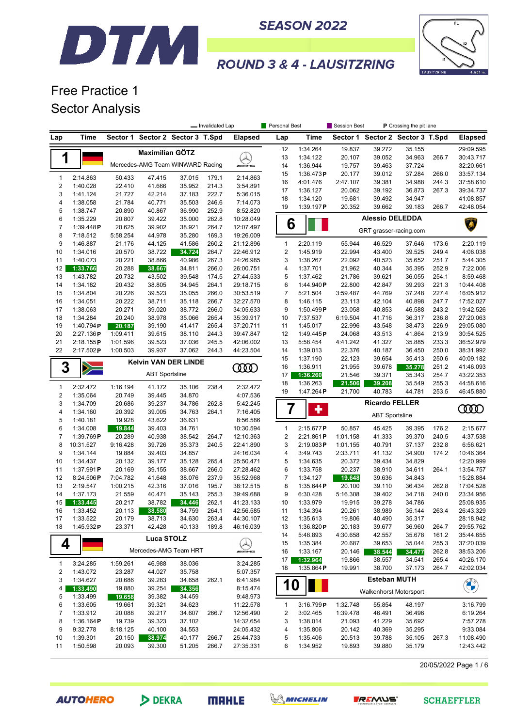



# Free Practice 1 Sector Analysis

DTM

|                         |                       |                    |                                  |                  | - Invalidated Lap |                        | Personal Best    |                       | Session Best       |                                  | P Crossing the pit lane |                |                        |
|-------------------------|-----------------------|--------------------|----------------------------------|------------------|-------------------|------------------------|------------------|-----------------------|--------------------|----------------------------------|-------------------------|----------------|------------------------|
| Lap                     | Time                  |                    | Sector 1 Sector 2 Sector 3 T.Spd |                  |                   | <b>Elapsed</b>         | Lap              | Time                  |                    | Sector 1 Sector 2 Sector 3 T.Spd |                         |                | <b>Elapsed</b>         |
|                         |                       |                    | Maximilian GÖTZ                  |                  |                   |                        | 12               | 1:34.264              | 19.837             | 39.272                           | 35.155                  |                | 29:09.595              |
| 1                       |                       |                    |                                  |                  |                   |                        | 13               | 1:34.122              | 20.107             | 39.052                           | 34.963                  | 266.7          | 30:43.717              |
|                         |                       |                    | Mercedes-AMG Team WINWARD Racing |                  |                   | <i><b>INNER</b></i>    | 14               | 1:36.944              | 19.757             | 39.463                           | 37.724                  |                | 32:20.661              |
| $\mathbf{1}$            | 2:14.863              | 50.433             | 47.415                           | 37.015           | 179.1             | 2:14.863               | 15               | 1:36.473P             | 20.177             | 39.012                           | 37.284                  | 266.0          | 33:57.134              |
| $\boldsymbol{2}$        | 1:40.028              | 22.410             | 41.666                           | 35.952           | 214.3             | 3:54.891               | 16               | 4:01.476              | 2:47.107           | 39.381                           | 34.988                  | 244.3          | 37:58.610              |
| 3                       | 1:41.124              | 21.727             | 42.214                           | 37.183           | 222.7             | 5:36.015               | 17               | 1:36.127              | 20.062             | 39.192                           | 36.873                  | 267.3          | 39:34.737              |
| $\overline{\mathbf{4}}$ | 1:38.058              | 21.784             | 40.771                           | 35.503           | 246.6             | 7:14.073               | 18               | 1:34.120              | 19.681             | 39.492                           | 34.947                  |                | 41:08.857              |
| 5                       | 1:38.747              | 20.890             | 40.867                           | 36.990           | 252.9             | 8:52.820               | 19               | 1:39.197P             | 20.352             | 39.662                           | 39.183                  | 266.7          | 42:48.054              |
| 6                       | 1:35.229              | 20.807             | 39.422                           | 35.000           | 262.8             | 10:28.049              |                  |                       |                    | <b>Alessio DELEDDA</b>           |                         |                |                        |
| $\overline{7}$          | 1:39.448P             | 20.625             | 39.902                           | 38.921           | 264.7             | 12:07.497              | 6                |                       |                    | GRT grasser-racing.com           |                         |                | A.                     |
| 8                       | 7:18.512              | 5:58.254           | 44.978                           | 35.280           | 169.3             | 19:26.009              |                  |                       |                    |                                  |                         |                |                        |
| 9                       | 1:46.887              | 21.176             | 44.125                           | 41.586           | 260.2             | 21:12.896              | 1                | 2:20.119              | 55.944             | 46.529                           | 37.646                  | 173.6          | 2:20.119               |
| 10                      | 1:34.016              | 20.570             | 38.722                           | 34.724           | 264.7             | 22:46.912              | 2                | 1:45.919              | 22.994             | 43.400                           | 39.525                  | 249.4          | 4:06.038               |
| 11                      | 1:40.073              | 20.221             | 38.866                           | 40.986           | 267.3             | 24:26.985              | 3                | 1:38.267              | 22.092             | 40.523                           | 35.652                  | 251.7          | 5:44.305               |
| 12                      | 1:33.766              | 20.288             | 38.667                           | 34.811           | 266.0             | 26:00.751              | 4                | 1:37.701              | 21.962             | 40.344                           | 35.395                  | 252.9          | 7:22.006               |
| 13                      | 1:43.782              | 20.732             | 43.502                           | 39.548           | 174.5             | 27:44.533              | 5                | 1:37.462              | 21.786             | 39.621                           | 36.055                  | 254.1          | 8:59.468               |
| 14                      | 1:34.182              | 20.432             | 38.805                           | 34.945           | 264.1             | 29:18.715              | 6                | 1:44.940P             | 22.800             | 42.847                           | 39.293                  | 221.3          | 10:44.408              |
| 15                      | 1:34.804              | 20.226             | 39.523                           | 35.055           | 266.0             | 30:53.519<br>32:27.570 | $\boldsymbol{7}$ | 5:21.504              | 3:59.487           | 44.769                           | 37.248                  | 227.4          | 16:05.912              |
| 16                      | 1:34.051              | 20.222             | 38.711                           | 35.118           | 266.7             |                        | 8<br>9           | 1:46.115              | 23.113             | 42.104                           | 40.898                  | 247.7          | 17:52.027              |
| 17<br>18                | 1:38.063<br>1:34.284  | 20.271<br>20.240   | 39.020<br>38.978                 | 38.772<br>35.066 | 266.0<br>265.4    | 34:05.633<br>35:39.917 | 10               | 1:50.499P<br>7:37.537 | 23.058<br>6:19.504 | 40.853<br>41.716                 | 46.588<br>36.317        | 243.2<br>236.8 | 19:42.526<br>27:20.063 |
| 19                      | 1:40.794 $P$          | 20.187             | 39.190                           | 41.417           | 265.4             | 37:20.711              | 11               | 1:45.017              | 22.996             | 43.548                           | 38.473                  | 226.9          | 29:05.080              |
| 20                      | 2:27.136P             | 1:09.411           | 39.615                           | 38.110           | 244.3             | 39:47.847              | 12               | 1:49.445P             | 24.068             | 43.513                           | 41.864                  | 213.9          | 30:54.525              |
| 21                      | 2:18.155P             | 1:01.596           | 39.523                           | 37.036           | 245.5             | 42:06.002              | 13               | 5:58.454              | 4:41.242           | 41.327                           | 35.885                  | 233.3          | 36:52.979              |
| 22                      | 2:17.502P             | 1:00.503           | 39.937                           | 37.062           | 244.3             | 44:23.504              | 14               | 1:39.013              | 22.376             | 40.187                           | 36.450                  | 250.0          | 38:31.992              |
|                         |                       |                    |                                  |                  |                   |                        | 15               | 1:37.190              | 22.123             | 39.654                           | 35.413                  | 250.6          | 40:09.182              |
| 3                       | $\geq$                |                    | <b>Kelvin VAN DER LINDE</b>      |                  |                   | <b>COO</b>             | 16               | 1:36.911              | 21.955             | 39.678                           | 35.278                  | 251.2          | 41:46.093              |
|                         |                       |                    | <b>ABT Sportsline</b>            |                  |                   |                        | 17               | 1:36.260              | 21.546             | 39.371                           | 35.343                  | 254.7          | 43:22.353              |
| $\mathbf{1}$            | 2:32.472              | 1:16.194           | 41.172                           | 35.106           | 238.4             | 2:32.472               | 18               | 1:36.263              | 21.506             | 39.208                           | 35.549                  | 255.3          | 44:58.616              |
| $\boldsymbol{2}$        | 1:35.064              | 20.749             | 39.445                           | 34.870           |                   | 4:07.536               | 19               | 1:47.264P             | 21.700             | 40.783                           | 44.781                  | 253.5          | 46:45.880              |
| 3                       | 1:34.709              | 20.686             | 39.237                           | 34.786           | 262.8             | 5:42.245               |                  |                       |                    | <b>Ricardo FELLER</b>            |                         |                |                        |
| 4                       | 1:34.160              | 20.392             | 39.005                           | 34.763           | 264.1             | 7:16.405               | $\overline{7}$   | ٠                     |                    |                                  |                         |                | <b>COOD</b>            |
| 5                       | 1:40.181              | 19.928             | 43.622                           | 36.631           |                   | 8:56.586               |                  |                       |                    | <b>ABT Sportsline</b>            |                         |                |                        |
| 6                       | 1:34.008              | 19.844             | 39.403                           | 34.761           |                   | 10:30.594              | $\mathbf{1}$     | 2:15.677P             | 50.857             | 45.425                           | 39.395                  | 176.2          | 2:15.677               |
| $\overline{7}$          | 1:39.769P             | 20.289             | 40.938                           | 38.542           | 264.7             | 12:10.363              | 2                | 2:21.861P             | 1:01.158           | 41.333                           | 39.370                  | 240.5          | 4:37.538               |
| 8                       | 10:31.527             | 9:16.428           | 39.726                           | 35.373           | 240.5             | 22:41.890              | 3                | 2:19.083P             | 1:01.155           | 40.791                           | 37.137                  | 232.8          | 6:56.621               |
| 9                       | 1:34.144              | 19.884             | 39.403                           | 34.857           |                   | 24:16.034              | 4                | 3:49.743              | 2:33.711           | 41.132                           | 34.900                  | 174.2          | 10:46.364              |
| 10                      | 1:34.437              | 20.132             | 39.177                           | 35.128           | 265.4             | 25:50.471              | 5                | 1:34.635              | 20.372             | 39.434                           | 34.829                  |                | 12:20.999              |
| 11                      | 1:37.991P             | 20.169             | 39.155                           | 38.667           | 266.0             | 27:28.462              | 6                | 1:33.758              | 20.237             | 38.910                           | 34.611                  | 264.1          | 13:54.757              |
| 12                      | 8:24.506P             | 7:04.782           | 41.648                           | 38.076           | 237.9             | 35:52.968              | $\overline{7}$   | 1:34.127              | 19.648             | 39.636                           | 34.843                  |                | 15:28.884              |
| 13                      | 2:19.547              | 1:00.215           | 42.316                           | 37.016           | 195.7             | 38:12.515              | 8                | 1:35.644P             | 20.100             | 39.110                           | 36.434                  | 262.8          | 17:04.528              |
| 14                      | 1:37.173              | 21.559             | 40.471                           | 35.143           | 255.3             | 39:49.688              | 9                | 6:30.428              | 5:16.308           | 39.402                           | 34.718                  | 240.0          | 23:34.956              |
| 15                      | 1:33.445              | 20.217             | 38.782                           | 34.446           | 262.1             | 41:23.133              | 10               | 1:33.979              | 19.915             | 39.278                           | 34.786                  |                | 25:08.935              |
| $16\,$                  | 1:33.452              | 20.113             | 38.580                           | 34.759           | 264.1             | 42:56.585              | 11               | 1:34.394              | 20.261             | 38.989                           | 35.144                  | 263.4          | 26:43.329              |
| 17                      | 1:33.522              | 20.179             | 38.713                           | 34.630           | 263.4             | 44:30.107              | 12               | 1:35.613              | 19.806             | 40.490                           | 35.317                  |                | 28:18.942              |
| 18                      | 1:45.932P             | 23.371             | 42.428                           | 40.133           | 189.8             | 46:16.039              | 13               | 1:36.820P             | 20.183             | 39.677                           | 36.960                  | 264.7          | 29:55.762              |
|                         |                       |                    | <b>Luca STOLZ</b>                |                  |                   |                        | 14<br>15         | 5:48.893<br>1:35.384  | 4:30.658<br>20.687 | 42.557<br>39.653                 | 35.678<br>35.044        | 161.2<br>255.3 | 35:44.655<br>37:20.039 |
| 4                       |                       |                    | Mercedes-AMG Team HRT            |                  |                   | mens                   | 16               | 1:33.167              | 20.146             | 38.544                           | 34.477                  | 262.8          | 38:53.206              |
|                         |                       |                    |                                  |                  |                   |                        | 17               | 1:32.964              | 19.866             | 38.557                           | 34.541                  | 265.4          | 40:26.170              |
| 1                       | 3:24.285              | 1:59.261           | 46.988                           | 38.036           |                   | 3:24.285               | 18               | $1:35.864$ P          | 19.991             | 38.700                           | 37.173                  | 264.7          | 42:02.034              |
| 2                       | 1:43.072              | 23.287             | 44.027                           | 35.758           |                   | 5:07.357               |                  |                       |                    |                                  |                         |                |                        |
| 3                       | 1:34.627              | 20.686             | 39.283                           | 34.658           | 262.1             | 6:41.984               | 10               |                       |                    | Esteban MUTH                     |                         |                | <b>CHANGE</b>          |
| 4                       | 1:33.490              | 19.880             | 39.254                           | 34.356           |                   | 8:15.474               |                  |                       |                    | Walkenhorst Motorsport           |                         |                |                        |
| 5                       | 1:33.499              | 19.658             | 39.382                           | 34.459           |                   | 9:48.973               |                  |                       |                    |                                  |                         |                |                        |
| 6                       | 1:33.605              | 19.661             | 39.321                           | 34.623           |                   | 11:22.578              | 1                | 3:16.799P             | 1:32.748           | 55.854                           | 48.197                  |                | 3:16.799               |
| $\overline{7}$          | 1:33.912              | 20.088             | 39.217                           | 34.607           | 266.7             | 12:56.490              | 2                | 3:02.465              | 1:39.478           | 46.491                           | 36.496                  |                | 6:19.264               |
| 8<br>9                  | 1:36.164P<br>9:32.778 | 19.739<br>8:18.125 | 39.323<br>40.100                 | 37.102<br>34.553 |                   | 14:32.654<br>24:05.432 | 3<br>4           | 1:38.014<br>1:35.806  | 21.093<br>20.142   | 41.229<br>40.369                 | 35.692<br>35.295        |                | 7:57.278<br>9:33.084   |
| 10                      | 1:39.301              | 20.150             | 38.974                           | 40.177           | 266.7             | 25:44.733              | 5                | 1:35.406              | 20.513             | 39.788                           | 35.105                  | 267.3          | 11:08.490              |
| 11                      | 1:50.598              | 20.093             | 39.300                           | 51.205           | 266.7             | 27:35.331              | 6                | 1:34.952              | 19.893             | 39.880                           | 35.179                  |                | 12:43.442              |
|                         |                       |                    |                                  |                  |                   |                        |                  |                       |                    |                                  |                         |                |                        |

20/05/2022 Page 1 / 6





**MRHLE** 



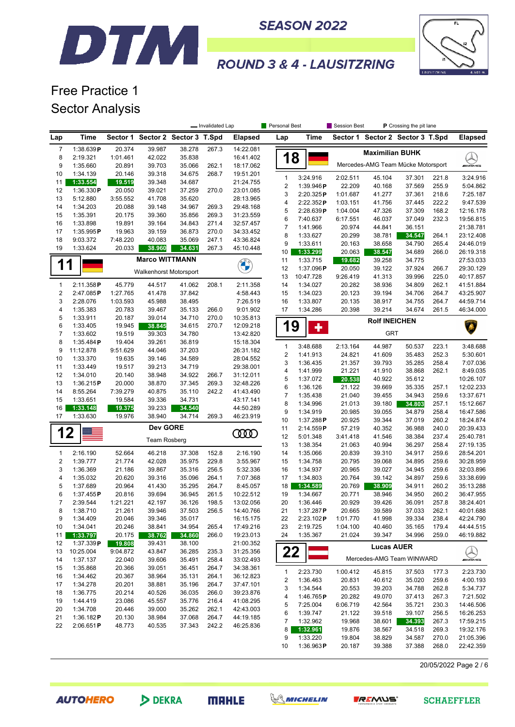#### **SEASON 2022**



# **ROUND 3 & 4 - LAUSITZRING**

### Free Practice 1 Sector Analysis

DTM

|                     |                       |                  |                                  |                  | - Invalidated Lap |                        | Personal Best         |                      | Session Best     |                        | P Crossing the pit lane            |                |                               |
|---------------------|-----------------------|------------------|----------------------------------|------------------|-------------------|------------------------|-----------------------|----------------------|------------------|------------------------|------------------------------------|----------------|-------------------------------|
| Lap                 | Time                  |                  | Sector 1 Sector 2 Sector 3 T.Spd |                  |                   | <b>Elapsed</b>         | Lap                   | Time                 |                  |                        | Sector 1 Sector 2 Sector 3 T.Spd   |                | <b>Elapsed</b>                |
| $\overline{7}$      | 1:38.639P             | 20.374           | 39.987                           | 38.278           | 267.3             | 14:22.081              |                       |                      |                  | <b>Maximilian BUHK</b> |                                    |                |                               |
| 8                   | 2:19.321              | 1:01.461         | 42.022                           | 35.838           |                   | 16:41.402              | 18                    |                      |                  |                        |                                    |                | <b>ANGELANG</b>               |
| 9                   | 1:35.660              | 20.891           | 39.703                           | 35.066           | 262.1             | 18:17.062              |                       |                      |                  |                        | Mercedes-AMG Team Mücke Motorsport |                |                               |
| 10                  | 1:34.139              | 20.146           | 39.318                           | 34.675           | 268.7             | 19:51.201              | $\mathbf{1}$          | 3:24.916             | 2:02.511         | 45.104                 | 37.301                             | 221.8          | 3:24.916                      |
| 11<br>12            | 1:33.554<br>1:36.330P | 19.519<br>20.050 | 39.348<br>39.021                 | 34.687<br>37.259 | 270.0             | 21:24.755<br>23:01.085 | 2                     | 1:39.946P            | 22.209           | 40.168                 | 37.569                             | 255.9          | 5:04.862                      |
| 13                  | 5:12.880              | 3:55.552         | 41.708                           | 35.620           |                   | 28:13.965              | 3                     | 2:20.325P            | 1:01.687         | 41.277                 | 37.361                             | 218.6          | 7:25.187                      |
| 14                  | 1:34.203              | 20.088           | 39.148                           | 34.967           | 269.3             | 29:48.168              | 4                     | 2:22.352P            | 1:03.151         | 41.756                 | 37.445                             | 222.2          | 9:47.539                      |
| 15                  | 1:35.391              | 20.175           | 39.360                           | 35.856           | 269.3             | 31:23.559              | 5                     | 2:28.639P            | 1:04.004         | 47.326                 | 37.309                             | 168.2          | 12:16.178                     |
| 16                  | 1:33.898              | 19.891           | 39.164                           | 34.843           | 271.4             | 32:57.457              | 6                     | 7:40.637             | 6:17.551         | 46.037                 | 37.049                             | 232.3          | 19:56.815                     |
| 17                  | 1:35.995P             | 19.963           | 39.159                           | 36.873           | 270.0             | 34:33.452              | 7                     | 1:41.966             | 20.974           | 44.841                 | 36.151                             |                | 21:38.781                     |
| 18                  | 9:03.372              | 7:48.220         | 40.083                           | 35.069           | 247.1             | 43:36.824              | 8<br>9                | 1:33.627<br>1:33.611 | 20.299<br>20.163 | 38.781<br>38.658       | 34.547<br>34.790                   | 264.1<br>265.4 | 23:12.408<br>24:46.019        |
| 19                  | 1:33.624              | 20.033           | 38.960                           | 34.631           | 267.3             | 45:10.448              | 10                    | 1:33.299             | 20.063           | 38.547                 | 34.689                             | 266.0          | 26:19.318                     |
|                     |                       |                  | <b>Marco WITTMANN</b>            |                  |                   |                        | 11                    | 1:33.715             | 19.682           | 39.258                 | 34.775                             |                | 27:53.033                     |
| 1                   |                       |                  |                                  |                  |                   | <b>COMPANY</b>         | 12                    | 1:37.096P            | 20.050           | 39.122                 | 37.924                             | 266.7          | 29:30.129                     |
|                     |                       |                  | <b>Walkenhorst Motorsport</b>    |                  |                   |                        | 13                    | 10:47.728            | 9:26.419         | 41.313                 | 39.996                             | 225.0          | 40:17.857                     |
| 1                   | 2:11.358P             | 45.779           | 44.517                           | 41.062           | 208.1             | 2:11.358               | 14                    | 1:34.027             | 20.282           | 38.936                 | 34.809                             | 262.1          | 41:51.884                     |
| $\boldsymbol{2}$    | 2:47.085P             | 1:27.765         | 41.478                           | 37.842           |                   | 4:58.443               | 15                    | 1:34.023             | 20.123           | 39.194                 | 34.706                             | 264.7          | 43:25.907                     |
| 3                   | 2:28.076              | 1:03.593         | 45.988                           | 38.495           |                   | 7:26.519               | 16                    | 1:33.807             | 20.135           | 38.917                 | 34.755                             | 264.7          | 44:59.714                     |
| 4                   | 1:35.383              | 20.783           | 39.467                           | 35.133           | 266.0             | 9:01.902               | 17                    | 1:34.286             | 20.398           | 39.214                 | 34.674                             | 261.5          | 46:34.000                     |
| 5                   | 1:33.911              | 20.187           | 39.014                           | 34.710           | 270.0             | 10:35.813              |                       |                      |                  | <b>Rolf INEICHEN</b>   |                                    |                |                               |
| 6<br>$\overline{7}$ | 1:33.405              | 19.945           | 38.845                           | 34.615           | 270.7             | 12:09.218              | 19                    | ٠                    |                  | <b>GRT</b>             |                                    |                | Ä                             |
| 8                   | 1:33.602<br>1:35.484P | 19.519<br>19.404 | 39.303<br>39.261                 | 34.780<br>36.819 |                   | 13:42.820<br>15:18.304 |                       |                      |                  |                        |                                    |                |                               |
| 9                   | 11:12.878             | 9:51.629         | 44.046                           | 37.203           |                   | 26:31.182              | $\mathbf{1}$          | 3:48.688             | 2:13.164         | 44.987                 | 50.537                             | 223.1          | 3:48.688                      |
| 10                  | 1:33.370              | 19.635           | 39.146                           | 34.589           |                   | 28:04.552              | $\sqrt{2}$            | 1:41.913             | 24.821           | 41.609                 | 35.483                             | 252.3          | 5:30.601                      |
| 11                  | 1:33.449              | 19.517           | 39.213                           | 34.719           |                   | 29:38.001              | 3                     | 1:36.435             | 21.357           | 39.793                 | 35.285                             | 258.4          | 7:07.036                      |
| 12                  | 1:34.010              | 20.140           | 38.948                           | 34.922           | 266.7             | 31:12.011              | 4                     | 1:41.999             | 21.221           | 41.910                 | 38.868                             | 262.1          | 8:49.035                      |
| 13                  | 1:36.215P             | 20.000           | 38.870                           | 37.345           | 269.3             | 32:48.226              | 5                     | 1:37.072             | 20.538           | 40.922                 | 35.612                             |                | 10:26.107                     |
| 14                  | 8:55.264              | 7:39.279         | 40.875                           | 35.110           | 242.2             | 41:43.490              | 6<br>$\boldsymbol{7}$ | 1:36.126<br>1:35.438 | 21.122<br>21.040 | 39.669<br>39.455       | 35.335<br>34.943                   | 257.1<br>259.6 | 12:02.233<br>13:37.671        |
| 15                  | 1:33.651              | 19.584           | 39.336                           | 34.731           |                   | 43:17.141              | 8                     | 1:34.996             | 21.013           | 39.180                 | 34.803                             | 257.1          | 15:12.667                     |
| 16                  | 1:33.148              | 19.375           | 39.233                           | 34.540           |                   | 44:50.289              | 9                     | 1:34.919             | 20.985           | 39.055                 | 34.879                             | 258.4          | 16:47.586                     |
| 17                  | 1:33.630              | 19.976           | 38.940                           | 34.714           | 269.3             | 46:23.919              | 10                    | 1:37.288P            | 20.925           | 39.344                 | 37.019                             | 260.2          | 18:24.874                     |
|                     |                       |                  | Dev GORE                         |                  |                   |                        | 11                    | 2:14.559P            | 57.219           | 40.352                 | 36.988                             | 240.0          | 20:39.433                     |
| 12                  |                       |                  | <b>Team Rosberg</b>              |                  |                   | <b>COOD</b>            | 12                    | 5:01.348             | 3:41.418         | 41.546                 | 38.384                             | 237.4          | 25:40.781                     |
|                     |                       |                  |                                  |                  |                   |                        | 13                    | 1:38.354             | 21.063           | 40.994                 | 36.297                             | 258.4          | 27:19.135                     |
| $\mathbf{1}$        | 2:16.190              | 52.664           | 46.218                           | 37.308           | 152.8             | 2:16.190               | 14                    | 1:35.066             | 20.839           | 39.310                 | 34.917                             | 259.6          | 28:54.201                     |
| 2                   | 1:39.777              | 21.774           | 42.028                           | 35.975           | 229.8             | 3:55.967               | 15                    | 1:34.758             | 20.795           | 39.068                 | 34.895                             | 259.6          | 30:28.959                     |
| 3                   | 1:36.369              | 21.186           | 39.867                           | 35.316           | 256.5             | 5:32.336               | 16                    | 1:34.937             | 20.965           | 39.027                 | 34.945                             | 259.6          | 32:03.896                     |
| 4                   | 1:35.032              | 20.620           | 39.316                           | 35.096           | 264.1             | 7:07.368               | 17                    | 1:34.803             | 20.764           | 39.142                 | 34.897                             | 259.6          | 33:38.699                     |
| 5<br>6              | 1:37.689<br>1:37.455P | 20.964<br>20.816 | 41.430<br>39.694                 | 35.295<br>36.945 | 264.7<br>261.5    | 8:45.057<br>10:22.512  | 18<br>19              | 1:34.589<br>1:34.667 | 20.769<br>20.771 | 38.909<br>38.946       | 34.911<br>34.950                   | 260.2<br>260.2 | 35:13.288<br>36:47.955        |
| $\overline{7}$      | 2:39.544              | 1:21.221         | 42.197                           | 36.126           | 198.5             | 13:02.056              | 20                    | 1:36.446             | 20.929           | 39.426                 | 36.091                             | 257.8          | 38:24.401                     |
| 8                   | 1:38.710              | 21.261           | 39.946                           | 37.503           | 256.5             | 14:40.766              | 21                    | 1:37.287 <b>P</b>    | 20.665           | 39.589                 | 37.033                             | 262.1          | 40:01.688                     |
| 9                   | 1:34.409              | 20.046           | 39.346                           | 35.017           |                   | 16:15.175              | 22                    | 2:23.102P            | 1:01.770         | 41.998                 | 39.334                             | 238.4          | 42:24.790                     |
| 10                  | 1:34.041              | 20.246           | 38.841                           | 34.954           | 265.4             | 17:49.216              | 23                    | 2:19.725             | 1:04.100         | 40.460                 | 35.165                             | 179.4          | 44:44.515                     |
| 11                  | 1:33.797              | 20.175           | 38.762                           | 34.860           | 266.0             | 19:23.013              | 24                    | 1:35.367             | 21.024           | 39.347                 | 34.996                             | 259.0          | 46:19.882                     |
| 12                  | 1:37.339P             | 19.808           | 39.431                           | 38.100           |                   | 21:00.352              |                       |                      |                  | <b>Lucas AUER</b>      |                                    |                |                               |
| 13                  | 10:25.004             | 9:04.872         | 43.847                           | 36.285           | 235.3             | 31:25.356              | 22                    |                      |                  |                        |                                    |                | $\bigotimes_{\mathsf{mldhs}}$ |
| 14                  | 1:37.137              | 22.040           | 39.606                           | 35.491           | 258.4             | 33:02.493              |                       |                      |                  |                        | Mercedes-AMG Team WINWARD          |                |                               |
| 15                  | 1:35.868              | 20.366           | 39.051                           | 36.451           | 264.7             | 34:38.361              | $\mathbf{1}$          | 2:23.730             | 1:00.412         | 45.815                 | 37.503                             | 177.3          | 2:23.730                      |
| 16                  | 1:34.462              | 20.367           | 38.964                           | 35.131           | 264.1             | 36:12.823              | 2                     | 1:36.463             | 20.831           | 40.612                 | 35.020                             | 259.6          | 4:00.193                      |
| 17                  | 1:34.278              | 20.201           | 38.881                           | 35.196           | 264.7             | 37:47.101              | 3                     | 1:34.544             | 20.553           | 39.203                 | 34.788                             | 262.8          | 5:34.737                      |
| 18                  | 1:36.775              | 20.214           | 40.526                           | 36.035           | 266.0             | 39:23.876              | 4                     | 1:46.765P            | 20.282           | 49.070                 | 37.413                             | 267.3          | 7:21.502                      |
| 19<br>20            | 1:44.419<br>1:34.708  | 23.086<br>20.446 | 45.557<br>39.000                 | 35.776<br>35.262 | 216.4<br>262.1    | 41:08.295<br>42:43.003 | 5                     | 7:25.004             | 6:06.719         | 42.564                 | 35.721                             | 230.3          | 14:46.506                     |
| 21                  | 1:36.182P             | 20.130           | 38.984                           | 37.068           | 264.7             | 44:19.185              | 6                     | 1:39.747             | 21.122           | 39.518                 | 39.107                             | 256.5          | 16:26.253                     |
| 22                  | 2:06.651P             | 48.773           | 40.535                           | 37.343           | 242.2             | 46:25.836              | 7                     | 1:32.962             | 19.968           | 38.601                 | 34.393                             | 267.3          | 17:59.215                     |
|                     |                       |                  |                                  |                  |                   |                        | 8                     | 1:32.961             | 19.876           | 38.567                 | 34.518                             | 269.3          | 19:32.176                     |
|                     |                       |                  |                                  |                  |                   |                        | 9                     | 1:33.220             | 19.804           | 38.829                 | 34.587                             | 270.0          | 21:05.396                     |
|                     |                       |                  |                                  |                  |                   |                        | 10                    | 1:36.963P            | 20.187           | 39.388                 | 37.388                             | 268.0          | 22:42.359                     |

20/05/2022 Page 2 / 6

**AUTOHERO** 

DEKRA

**MRHLE** 



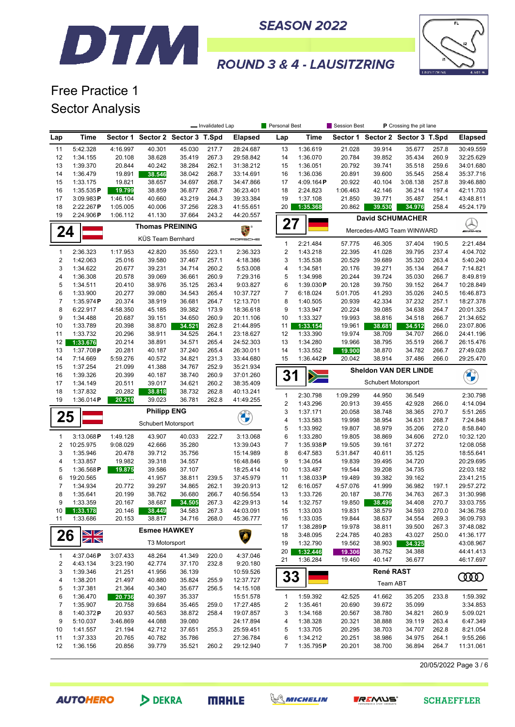



# Free Practice 1 Sector Analysis

DTM

| Time<br>Sector 1 Sector 2 Sector 3 T.Spd<br>Time<br>Sector 1 Sector 2 Sector 3 T.Spd<br><b>Elapsed</b><br><b>Elapsed</b><br>Lap<br>Lap<br>5:42.328<br>4:16.997<br>40.301<br>45.030<br>28:24.687<br>1:36.619<br>21.028<br>39.914<br>257.8<br>30:49.559<br>11<br>217.7<br>13<br>35.677<br>1:34.155<br>20.108<br>38.628<br>35.419<br>267.3<br>29:58.842<br>14<br>1:36.070<br>20.784<br>35.434<br>260.9<br>12<br>39.852<br>32:25.629<br>13<br>1:39.370<br>20.844<br>40.242<br>38.284<br>262.1<br>31:38.212<br>1:36.051<br>20.792<br>39.741<br>35.518<br>259.6<br>15<br>34:01.680<br>14<br>1:36.479<br>19.891<br>38.546<br>38.042<br>268.7<br>33:14.691<br>16<br>1:36.036<br>20.891<br>39.600<br>35.545<br>258.4<br>35:37.716<br>15<br>1:33.175<br>19.821<br>38.657<br>34.697<br>268.7<br>34:47.866<br>17<br>4:09.164P<br>20.922<br>40.104<br>3:08.138<br>257.8<br>39:46.880<br>16<br>1:35.535P<br>38.859<br>36.877<br>268.7<br>36:23.401<br>18<br>2:24.823<br>1:06.463<br>42.146<br>36.214<br>197.4<br>19.799<br>42:11.703<br>17<br>3:09.983P<br>1:46.104<br>40.660<br>43.219<br>244.3<br>39:33.384<br>19<br>1:37.108<br>21.850<br>39.771<br>35.487<br>254.1<br>43:48.811<br>18<br>20<br>45:24.179<br>2:22.267P<br>1:05.005<br>40.006<br>37.256<br>228.3<br>41:55.651<br>1:35.368<br>20.862<br>39.530<br>34.976<br>258.4<br>19<br>2:24.906P<br>1:06.112<br>41.130<br>37.664<br>243.2<br>44:20.557<br><b>David SCHUMACHER</b><br>27<br><b>Thomas PREINING</b><br>E.<br>24<br>Mercedes-AMG Team WINWARD<br><b><i>INNE</i></b><br>KÜS Team Bernhard<br>PORSCHE<br>$\mathbf{1}$<br>2:21.484<br>57.775<br>46.305<br>37.404<br>190.5<br>2:21.484<br>$\overline{\mathbf{c}}$<br>1<br>2:36.323<br>1:17.953<br>42.820<br>223.1<br>2:36.323<br>1:43.218<br>22.395<br>41.028<br>39.795<br>237.4<br>4:04.702<br>35.550<br>2<br>1:42.063<br>25.016<br>39.580<br>37.467<br>257.1<br>4:18.386<br>3<br>1:35.538<br>20.529<br>39.689<br>35.320<br>263.4<br>5:40.240<br>3<br>1:34.622<br>20.677<br>39.231<br>34.714<br>260.2<br>5:53.008<br>4<br>1:34.581<br>20.176<br>39.271<br>35.134<br>264.7<br>7:14.821<br>4<br>5<br>1:36.308<br>20.578<br>39.069<br>36.661<br>260.9<br>7:29.316<br>20.244<br>39.724<br>35.030<br>266.7<br>8:49.819<br>1:34.998<br>5<br>1:34.511<br>20.410<br>38.976<br>35.125<br>263.4<br>9:03.827<br>6<br>1:39.030P<br>20.128<br>39.750<br>39.152<br>264.7<br>10:28.849<br>6<br>20.277<br>$\overline{7}$<br>1:33.900<br>39.080<br>34.543<br>265.4<br>10:37.727<br>6:18.024<br>5:01.705<br>41.293<br>35.026<br>240.5<br>16:46.873<br>7<br>8<br>1:35.974P<br>20.374<br>38.919<br>36.681<br>264.7<br>12:13.701<br>1:40.505<br>20.939<br>42.334<br>37.232<br>257.1<br>18:27.378<br>8<br>9<br>6:22.917<br>4:58.350<br>45.185<br>39.382<br>173.9<br>18:36.618<br>1:33.947<br>20.224<br>39.085<br>34.638<br>264.7<br>20:01.325<br>19.993<br>9<br>1:34.488<br>20.687<br>39.151<br>34.650<br>260.9<br>20:11.106<br>1:33.327<br>38.816<br>34.518<br>266.7<br>10<br>21:34.652<br>10<br>1:33.789<br>20.398<br>1:33.154<br>19.961<br>266.0<br>38.870<br>34.521<br>262.8<br>21:44.895<br>11<br>38.681<br>34.512<br>23:07.806<br>11<br>1:33.732<br>20.296<br>38.911<br>34.525<br>264.1<br>23:18.627<br>12<br>1:33.390<br>19.974<br>38.709<br>266.0<br>24:41.196<br>34.707<br>12<br>1:33.676<br>20.214<br>38.891<br>34.571<br>265.4<br>24:52.303<br>13<br>1:34.280<br>19.966<br>38.795<br>35.519<br>266.7<br>26:15.476<br>13<br>1:37.708P<br>20.281<br>40.187<br>37.240<br>265.4<br>26:30.011<br>14<br>1:33.552<br>38.870<br>34.782<br>266.7<br>19.900<br>27:49.028<br>14<br>7:14.669<br>5:59.276<br>40.572<br>34.821<br>231.3<br>33:44.680<br>15<br>1:36.442P<br>20.042<br>38.914<br>37.486<br>266.0<br>29:25.470<br>15<br>1:37.254<br>21.099<br>41.388<br>34.767<br>252.9<br>35:21.934<br><b>Sheldon VAN DER LINDE</b><br>31<br><b>CALCIO</b><br>1:39.326<br>20.399<br>38.740<br>260.9<br>37:01.260<br>16<br>40.187<br>$\geq$<br>Schubert Motorsport<br>17<br>1:34.149<br>20.511<br>39.017<br>34.621<br>260.2<br>38:35.409<br>18<br>1:37.832<br>20.282<br>38.732<br>262.8<br>38.818<br>40:13.241<br>2:30.798<br>$\mathbf{1}$<br>1:09.299<br>44.950<br>36.549<br>2:30.798<br>19<br>1:36.014P<br>39.023<br>36.781<br>262.8<br>20.210<br>41:49.255<br>$\overline{c}$<br>1:43.296<br>20.913<br>42.928<br>266.0<br>4:14.094<br>39.455<br><b>Philipp ENG</b><br>3<br>1:37.171<br>20.058<br>38.748<br>38.365<br>270.7<br>5:51.265<br>25<br><b>Original</b><br>4<br>1:33.583<br>19.998<br>38.954<br>34.631<br>268.7<br>7:24.848<br>Schubert Motorsport<br>5<br>1:33.992<br>19.807<br>38.979<br>35.206<br>272.0<br>8:58.840<br>3:13.068P<br>1:49.128<br>43.907<br>40.033<br>222.7<br>3:13.068<br>6<br>1:33.280<br>19.805<br>38.869<br>34.606<br>272.0<br>10:32.120<br>1<br>2<br>10:25.975<br>9:08.029<br>42.666<br>35.280<br>13:39.043<br>$\overline{7}$<br>1:35.938P<br>19.505<br>37.272<br>12:08.058<br>39.161<br>3<br>8<br>1:35.946<br>39.712<br>15:14.989<br>6:47.583<br>35.125<br>20.478<br>35.756<br>5:31.847<br>40.611<br>18:55.641<br>4<br>1:33.857<br>19.982<br>39.318<br>16:48.846<br>9<br>1:34.054<br>19.839<br>34.720<br>34.557<br>39.495<br>5<br>1:36.568P<br>39.586<br>37.107<br>18:25.414<br>1:33.487<br>19.544<br>39.208<br>34.735<br>19.875<br>10<br>6<br>19:20.565<br>41.957<br>38.811<br>37:45.979<br>11<br>19.489<br>39.382<br>39.162<br>239.5<br>1:38.033P<br>$\cdots$<br>7<br>1:34.934<br>39.297<br>34.865<br>262.1<br>39:20.913<br>12<br>4:57.076<br>41.999<br>36.982<br>197.1<br>20.772<br>6:16.057<br>8<br>1:35.641<br>20.199<br>38.762<br>36.680<br>266.7<br>40:56.554<br>13<br>1:33.726<br>20.187<br>38.776<br>34.763<br>267.3<br>9<br>38.687<br>34.505<br>38.499<br>270.7<br>1:33.359<br>20.167<br>267.3<br>42:29.913<br>14<br>1:32.757<br>19.850<br>34.408<br>34.583<br>38.579<br>10 <sup>1</sup><br>1:33.178<br>20.146<br>267.3<br>44:03.091<br>15<br>1:33.003<br>19.831<br>34.593<br>270.0<br>38.449<br>1:33.686<br>20.153<br>38.817<br>268.0<br>45:36.777<br>19.844<br>34.554<br>11<br>34.716<br>1:33.035<br>38.637<br>269.3<br>16<br>17<br>1:38.289P<br>19.978<br>38.811<br>39.500<br>267.3<br><b>Esmee HAWKEY</b><br>NZ<br>26<br>18<br>3:48.095<br>2:24.785<br>40.283<br>43.027<br>250.0<br>$\overline{\mathbb{Z}}$<br>T3 Motorsport<br>19<br>1:32.790<br>19.562<br>38.903<br>34.325<br>20<br>1:32.446<br>19.306<br>38.752<br>34.388<br>4:37.046<br>$\mathbf{1}$<br>4:37.046P<br>3:07.433<br>48.264<br>41.349<br>220.0<br>21<br>1:36.284<br>19.460<br>40.147<br>36.677<br>46:17.697<br>$\overline{2}$<br>42.774<br>232.8<br>9:20.180<br>4:43.134<br>3:23.190<br>37.170<br>René RAST<br>3<br>1:39.346<br>21.251<br>41.956<br>36.139<br>10:59.526<br>33<br>0000<br>4<br>1:38.201<br>21.497<br>40.880<br>35.824<br>255.9<br>12:37.727<br>Team ABT<br>5<br>1:37.381<br>40.340<br>21.364<br>35.677<br>256.5<br>14:15.108<br>6<br>1:36.470<br>20.736<br>40.397<br>35.337<br>15:51.578<br>1:59.392<br>42.525<br>41.662<br>35.205<br>233.8<br>1:59.392<br>1<br>$\overline{7}$<br>1:35.907<br>20.758<br>39.684<br>35.465<br>259.0<br>17:27.485<br>1:35.461<br>20.690<br>39.672<br>35.099<br>3:34.853<br>2<br>8<br>20.937<br>40.563<br>1:40.372P<br>38.872<br>258.4<br>19:07.857<br>3<br>1:34.168<br>20.567<br>38.780<br>34.821<br>260.9<br>5:09.021<br>9<br>5:10.037<br>3:46.869<br>44.088<br>39.080<br>24:17.894<br>1:38.328<br>20.321<br>38.888<br>263.4<br>6:47.349<br>4<br>39.119<br>1:41.557<br>21.194<br>42.712<br>37.651<br>255.3<br>5<br>1:33.705<br>20.295<br>38.703<br>34.707<br>262.8<br>10<br>25:59.451<br>8:21.054<br>1:37.333<br>20.251<br>11<br>20.765<br>40.782<br>35.786<br>27:36.784<br>6<br>1:34.212<br>38.986<br>34.975<br>264.1<br>9:55.266<br>12<br>1:36.156<br>20.856<br>39.779<br>35.521<br>260.2<br>29:12.940<br>1:35.795P<br>20.201<br>38.700<br>36.894<br>264.7<br>7 |  |  | - Invalidated Lap | Personal Best | Session Best | P Crossing the pit lane |           |
|----------------------------------------------------------------------------------------------------------------------------------------------------------------------------------------------------------------------------------------------------------------------------------------------------------------------------------------------------------------------------------------------------------------------------------------------------------------------------------------------------------------------------------------------------------------------------------------------------------------------------------------------------------------------------------------------------------------------------------------------------------------------------------------------------------------------------------------------------------------------------------------------------------------------------------------------------------------------------------------------------------------------------------------------------------------------------------------------------------------------------------------------------------------------------------------------------------------------------------------------------------------------------------------------------------------------------------------------------------------------------------------------------------------------------------------------------------------------------------------------------------------------------------------------------------------------------------------------------------------------------------------------------------------------------------------------------------------------------------------------------------------------------------------------------------------------------------------------------------------------------------------------------------------------------------------------------------------------------------------------------------------------------------------------------------------------------------------------------------------------------------------------------------------------------------------------------------------------------------------------------------------------------------------------------------------------------------------------------------------------------------------------------------------------------------------------------------------------------------------------------------------------------------------------------------------------------------------------------------------------------------------------------------------------------------------------------------------------------------------------------------------------------------------------------------------------------------------------------------------------------------------------------------------------------------------------------------------------------------------------------------------------------------------------------------------------------------------------------------------------------------------------------------------------------------------------------------------------------------------------------------------------------------------------------------------------------------------------------------------------------------------------------------------------------------------------------------------------------------------------------------------------------------------------------------------------------------------------------------------------------------------------------------------------------------------------------------------------------------------------------------------------------------------------------------------------------------------------------------------------------------------------------------------------------------------------------------------------------------------------------------------------------------------------------------------------------------------------------------------------------------------------------------------------------------------------------------------------------------------------------------------------------------------------------------------------------------------------------------------------------------------------------------------------------------------------------------------------------------------------------------------------------------------------------------------------------------------------------------------------------------------------------------------------------------------------------------------------------------------------------------------------------------------------------------------------------------------------------------------------------------------------------------------------------------------------------------------------------------------------------------------------------------------------------------------------------------------------------------------------------------------------------------------------------------------------------------------------------------------------------------------------------------------------------------------------------------------------------------------------------------------------------------------------------------------------------------------------------------------------------------------------------------------------------------------------------------------------------------------------------------------------------------------------------------------------------------------------------------------------------------------------------------------------------------------------------------------------------------------------------------------------------------------------------------------------------------------------------------------------------------------------------------------------------------------------------------------------------------------------------------------------------------------------------------------------------------------------------------------------------------------------------------------------------------------------------------------------------------------------------------------------------------------------------------------------------------------------------------------------------------------------------------------------------------------------------------------------------------------------------------------------------------------------------------------------------------------------------------------------------------------------------------------------------------------------------------------------------------------------------------------------------------------------------------------------------------------------------------------------------------------------------------------------------------------------------------------------------------------------------------------------------------------------------------------------------------------------------------------------------------------------------------------------------------------------------------------------------------------------------------------------------------------------------------------------------------------------------------------------------------------------------------------------------------------------------------------------------------------------------------------------------------------------------------------------------------------------------------------------------------------------------------------------------|--|--|-------------------|---------------|--------------|-------------------------|-----------|
|                                                                                                                                                                                                                                                                                                                                                                                                                                                                                                                                                                                                                                                                                                                                                                                                                                                                                                                                                                                                                                                                                                                                                                                                                                                                                                                                                                                                                                                                                                                                                                                                                                                                                                                                                                                                                                                                                                                                                                                                                                                                                                                                                                                                                                                                                                                                                                                                                                                                                                                                                                                                                                                                                                                                                                                                                                                                                                                                                                                                                                                                                                                                                                                                                                                                                                                                                                                                                                                                                                                                                                                                                                                                                                                                                                                                                                                                                                                                                                                                                                                                                                                                                                                                                                                                                                                                                                                                                                                                                                                                                                                                                                                                                                                                                                                                                                                                                                                                                                                                                                                                                                                                                                                                                                                                                                                                                                                                                                                                                                                                                                                                                                                                                                                                                                                                                                                                                                                                                                                                                                                                                                                                                                                                                                                                                                                                                                                                                                                                                                                                                                                                                                                                                                                                                                                                                                                                                                                                                                                                                                                                                                                                                                                                                                                                                                                                                                                                                                                                                                                                                                                                                                                                                                                                                                                                    |  |  |                   |               |              |                         |           |
|                                                                                                                                                                                                                                                                                                                                                                                                                                                                                                                                                                                                                                                                                                                                                                                                                                                                                                                                                                                                                                                                                                                                                                                                                                                                                                                                                                                                                                                                                                                                                                                                                                                                                                                                                                                                                                                                                                                                                                                                                                                                                                                                                                                                                                                                                                                                                                                                                                                                                                                                                                                                                                                                                                                                                                                                                                                                                                                                                                                                                                                                                                                                                                                                                                                                                                                                                                                                                                                                                                                                                                                                                                                                                                                                                                                                                                                                                                                                                                                                                                                                                                                                                                                                                                                                                                                                                                                                                                                                                                                                                                                                                                                                                                                                                                                                                                                                                                                                                                                                                                                                                                                                                                                                                                                                                                                                                                                                                                                                                                                                                                                                                                                                                                                                                                                                                                                                                                                                                                                                                                                                                                                                                                                                                                                                                                                                                                                                                                                                                                                                                                                                                                                                                                                                                                                                                                                                                                                                                                                                                                                                                                                                                                                                                                                                                                                                                                                                                                                                                                                                                                                                                                                                                                                                                                                                    |  |  |                   |               |              |                         |           |
|                                                                                                                                                                                                                                                                                                                                                                                                                                                                                                                                                                                                                                                                                                                                                                                                                                                                                                                                                                                                                                                                                                                                                                                                                                                                                                                                                                                                                                                                                                                                                                                                                                                                                                                                                                                                                                                                                                                                                                                                                                                                                                                                                                                                                                                                                                                                                                                                                                                                                                                                                                                                                                                                                                                                                                                                                                                                                                                                                                                                                                                                                                                                                                                                                                                                                                                                                                                                                                                                                                                                                                                                                                                                                                                                                                                                                                                                                                                                                                                                                                                                                                                                                                                                                                                                                                                                                                                                                                                                                                                                                                                                                                                                                                                                                                                                                                                                                                                                                                                                                                                                                                                                                                                                                                                                                                                                                                                                                                                                                                                                                                                                                                                                                                                                                                                                                                                                                                                                                                                                                                                                                                                                                                                                                                                                                                                                                                                                                                                                                                                                                                                                                                                                                                                                                                                                                                                                                                                                                                                                                                                                                                                                                                                                                                                                                                                                                                                                                                                                                                                                                                                                                                                                                                                                                                                                    |  |  |                   |               |              |                         |           |
|                                                                                                                                                                                                                                                                                                                                                                                                                                                                                                                                                                                                                                                                                                                                                                                                                                                                                                                                                                                                                                                                                                                                                                                                                                                                                                                                                                                                                                                                                                                                                                                                                                                                                                                                                                                                                                                                                                                                                                                                                                                                                                                                                                                                                                                                                                                                                                                                                                                                                                                                                                                                                                                                                                                                                                                                                                                                                                                                                                                                                                                                                                                                                                                                                                                                                                                                                                                                                                                                                                                                                                                                                                                                                                                                                                                                                                                                                                                                                                                                                                                                                                                                                                                                                                                                                                                                                                                                                                                                                                                                                                                                                                                                                                                                                                                                                                                                                                                                                                                                                                                                                                                                                                                                                                                                                                                                                                                                                                                                                                                                                                                                                                                                                                                                                                                                                                                                                                                                                                                                                                                                                                                                                                                                                                                                                                                                                                                                                                                                                                                                                                                                                                                                                                                                                                                                                                                                                                                                                                                                                                                                                                                                                                                                                                                                                                                                                                                                                                                                                                                                                                                                                                                                                                                                                                                                    |  |  |                   |               |              |                         |           |
|                                                                                                                                                                                                                                                                                                                                                                                                                                                                                                                                                                                                                                                                                                                                                                                                                                                                                                                                                                                                                                                                                                                                                                                                                                                                                                                                                                                                                                                                                                                                                                                                                                                                                                                                                                                                                                                                                                                                                                                                                                                                                                                                                                                                                                                                                                                                                                                                                                                                                                                                                                                                                                                                                                                                                                                                                                                                                                                                                                                                                                                                                                                                                                                                                                                                                                                                                                                                                                                                                                                                                                                                                                                                                                                                                                                                                                                                                                                                                                                                                                                                                                                                                                                                                                                                                                                                                                                                                                                                                                                                                                                                                                                                                                                                                                                                                                                                                                                                                                                                                                                                                                                                                                                                                                                                                                                                                                                                                                                                                                                                                                                                                                                                                                                                                                                                                                                                                                                                                                                                                                                                                                                                                                                                                                                                                                                                                                                                                                                                                                                                                                                                                                                                                                                                                                                                                                                                                                                                                                                                                                                                                                                                                                                                                                                                                                                                                                                                                                                                                                                                                                                                                                                                                                                                                                                                    |  |  |                   |               |              |                         |           |
|                                                                                                                                                                                                                                                                                                                                                                                                                                                                                                                                                                                                                                                                                                                                                                                                                                                                                                                                                                                                                                                                                                                                                                                                                                                                                                                                                                                                                                                                                                                                                                                                                                                                                                                                                                                                                                                                                                                                                                                                                                                                                                                                                                                                                                                                                                                                                                                                                                                                                                                                                                                                                                                                                                                                                                                                                                                                                                                                                                                                                                                                                                                                                                                                                                                                                                                                                                                                                                                                                                                                                                                                                                                                                                                                                                                                                                                                                                                                                                                                                                                                                                                                                                                                                                                                                                                                                                                                                                                                                                                                                                                                                                                                                                                                                                                                                                                                                                                                                                                                                                                                                                                                                                                                                                                                                                                                                                                                                                                                                                                                                                                                                                                                                                                                                                                                                                                                                                                                                                                                                                                                                                                                                                                                                                                                                                                                                                                                                                                                                                                                                                                                                                                                                                                                                                                                                                                                                                                                                                                                                                                                                                                                                                                                                                                                                                                                                                                                                                                                                                                                                                                                                                                                                                                                                                                                    |  |  |                   |               |              |                         |           |
|                                                                                                                                                                                                                                                                                                                                                                                                                                                                                                                                                                                                                                                                                                                                                                                                                                                                                                                                                                                                                                                                                                                                                                                                                                                                                                                                                                                                                                                                                                                                                                                                                                                                                                                                                                                                                                                                                                                                                                                                                                                                                                                                                                                                                                                                                                                                                                                                                                                                                                                                                                                                                                                                                                                                                                                                                                                                                                                                                                                                                                                                                                                                                                                                                                                                                                                                                                                                                                                                                                                                                                                                                                                                                                                                                                                                                                                                                                                                                                                                                                                                                                                                                                                                                                                                                                                                                                                                                                                                                                                                                                                                                                                                                                                                                                                                                                                                                                                                                                                                                                                                                                                                                                                                                                                                                                                                                                                                                                                                                                                                                                                                                                                                                                                                                                                                                                                                                                                                                                                                                                                                                                                                                                                                                                                                                                                                                                                                                                                                                                                                                                                                                                                                                                                                                                                                                                                                                                                                                                                                                                                                                                                                                                                                                                                                                                                                                                                                                                                                                                                                                                                                                                                                                                                                                                                                    |  |  |                   |               |              |                         |           |
|                                                                                                                                                                                                                                                                                                                                                                                                                                                                                                                                                                                                                                                                                                                                                                                                                                                                                                                                                                                                                                                                                                                                                                                                                                                                                                                                                                                                                                                                                                                                                                                                                                                                                                                                                                                                                                                                                                                                                                                                                                                                                                                                                                                                                                                                                                                                                                                                                                                                                                                                                                                                                                                                                                                                                                                                                                                                                                                                                                                                                                                                                                                                                                                                                                                                                                                                                                                                                                                                                                                                                                                                                                                                                                                                                                                                                                                                                                                                                                                                                                                                                                                                                                                                                                                                                                                                                                                                                                                                                                                                                                                                                                                                                                                                                                                                                                                                                                                                                                                                                                                                                                                                                                                                                                                                                                                                                                                                                                                                                                                                                                                                                                                                                                                                                                                                                                                                                                                                                                                                                                                                                                                                                                                                                                                                                                                                                                                                                                                                                                                                                                                                                                                                                                                                                                                                                                                                                                                                                                                                                                                                                                                                                                                                                                                                                                                                                                                                                                                                                                                                                                                                                                                                                                                                                                                                    |  |  |                   |               |              |                         |           |
|                                                                                                                                                                                                                                                                                                                                                                                                                                                                                                                                                                                                                                                                                                                                                                                                                                                                                                                                                                                                                                                                                                                                                                                                                                                                                                                                                                                                                                                                                                                                                                                                                                                                                                                                                                                                                                                                                                                                                                                                                                                                                                                                                                                                                                                                                                                                                                                                                                                                                                                                                                                                                                                                                                                                                                                                                                                                                                                                                                                                                                                                                                                                                                                                                                                                                                                                                                                                                                                                                                                                                                                                                                                                                                                                                                                                                                                                                                                                                                                                                                                                                                                                                                                                                                                                                                                                                                                                                                                                                                                                                                                                                                                                                                                                                                                                                                                                                                                                                                                                                                                                                                                                                                                                                                                                                                                                                                                                                                                                                                                                                                                                                                                                                                                                                                                                                                                                                                                                                                                                                                                                                                                                                                                                                                                                                                                                                                                                                                                                                                                                                                                                                                                                                                                                                                                                                                                                                                                                                                                                                                                                                                                                                                                                                                                                                                                                                                                                                                                                                                                                                                                                                                                                                                                                                                                                    |  |  |                   |               |              |                         |           |
|                                                                                                                                                                                                                                                                                                                                                                                                                                                                                                                                                                                                                                                                                                                                                                                                                                                                                                                                                                                                                                                                                                                                                                                                                                                                                                                                                                                                                                                                                                                                                                                                                                                                                                                                                                                                                                                                                                                                                                                                                                                                                                                                                                                                                                                                                                                                                                                                                                                                                                                                                                                                                                                                                                                                                                                                                                                                                                                                                                                                                                                                                                                                                                                                                                                                                                                                                                                                                                                                                                                                                                                                                                                                                                                                                                                                                                                                                                                                                                                                                                                                                                                                                                                                                                                                                                                                                                                                                                                                                                                                                                                                                                                                                                                                                                                                                                                                                                                                                                                                                                                                                                                                                                                                                                                                                                                                                                                                                                                                                                                                                                                                                                                                                                                                                                                                                                                                                                                                                                                                                                                                                                                                                                                                                                                                                                                                                                                                                                                                                                                                                                                                                                                                                                                                                                                                                                                                                                                                                                                                                                                                                                                                                                                                                                                                                                                                                                                                                                                                                                                                                                                                                                                                                                                                                                                                    |  |  |                   |               |              |                         |           |
|                                                                                                                                                                                                                                                                                                                                                                                                                                                                                                                                                                                                                                                                                                                                                                                                                                                                                                                                                                                                                                                                                                                                                                                                                                                                                                                                                                                                                                                                                                                                                                                                                                                                                                                                                                                                                                                                                                                                                                                                                                                                                                                                                                                                                                                                                                                                                                                                                                                                                                                                                                                                                                                                                                                                                                                                                                                                                                                                                                                                                                                                                                                                                                                                                                                                                                                                                                                                                                                                                                                                                                                                                                                                                                                                                                                                                                                                                                                                                                                                                                                                                                                                                                                                                                                                                                                                                                                                                                                                                                                                                                                                                                                                                                                                                                                                                                                                                                                                                                                                                                                                                                                                                                                                                                                                                                                                                                                                                                                                                                                                                                                                                                                                                                                                                                                                                                                                                                                                                                                                                                                                                                                                                                                                                                                                                                                                                                                                                                                                                                                                                                                                                                                                                                                                                                                                                                                                                                                                                                                                                                                                                                                                                                                                                                                                                                                                                                                                                                                                                                                                                                                                                                                                                                                                                                                                    |  |  |                   |               |              |                         |           |
|                                                                                                                                                                                                                                                                                                                                                                                                                                                                                                                                                                                                                                                                                                                                                                                                                                                                                                                                                                                                                                                                                                                                                                                                                                                                                                                                                                                                                                                                                                                                                                                                                                                                                                                                                                                                                                                                                                                                                                                                                                                                                                                                                                                                                                                                                                                                                                                                                                                                                                                                                                                                                                                                                                                                                                                                                                                                                                                                                                                                                                                                                                                                                                                                                                                                                                                                                                                                                                                                                                                                                                                                                                                                                                                                                                                                                                                                                                                                                                                                                                                                                                                                                                                                                                                                                                                                                                                                                                                                                                                                                                                                                                                                                                                                                                                                                                                                                                                                                                                                                                                                                                                                                                                                                                                                                                                                                                                                                                                                                                                                                                                                                                                                                                                                                                                                                                                                                                                                                                                                                                                                                                                                                                                                                                                                                                                                                                                                                                                                                                                                                                                                                                                                                                                                                                                                                                                                                                                                                                                                                                                                                                                                                                                                                                                                                                                                                                                                                                                                                                                                                                                                                                                                                                                                                                                                    |  |  |                   |               |              |                         |           |
|                                                                                                                                                                                                                                                                                                                                                                                                                                                                                                                                                                                                                                                                                                                                                                                                                                                                                                                                                                                                                                                                                                                                                                                                                                                                                                                                                                                                                                                                                                                                                                                                                                                                                                                                                                                                                                                                                                                                                                                                                                                                                                                                                                                                                                                                                                                                                                                                                                                                                                                                                                                                                                                                                                                                                                                                                                                                                                                                                                                                                                                                                                                                                                                                                                                                                                                                                                                                                                                                                                                                                                                                                                                                                                                                                                                                                                                                                                                                                                                                                                                                                                                                                                                                                                                                                                                                                                                                                                                                                                                                                                                                                                                                                                                                                                                                                                                                                                                                                                                                                                                                                                                                                                                                                                                                                                                                                                                                                                                                                                                                                                                                                                                                                                                                                                                                                                                                                                                                                                                                                                                                                                                                                                                                                                                                                                                                                                                                                                                                                                                                                                                                                                                                                                                                                                                                                                                                                                                                                                                                                                                                                                                                                                                                                                                                                                                                                                                                                                                                                                                                                                                                                                                                                                                                                                                                    |  |  |                   |               |              |                         |           |
|                                                                                                                                                                                                                                                                                                                                                                                                                                                                                                                                                                                                                                                                                                                                                                                                                                                                                                                                                                                                                                                                                                                                                                                                                                                                                                                                                                                                                                                                                                                                                                                                                                                                                                                                                                                                                                                                                                                                                                                                                                                                                                                                                                                                                                                                                                                                                                                                                                                                                                                                                                                                                                                                                                                                                                                                                                                                                                                                                                                                                                                                                                                                                                                                                                                                                                                                                                                                                                                                                                                                                                                                                                                                                                                                                                                                                                                                                                                                                                                                                                                                                                                                                                                                                                                                                                                                                                                                                                                                                                                                                                                                                                                                                                                                                                                                                                                                                                                                                                                                                                                                                                                                                                                                                                                                                                                                                                                                                                                                                                                                                                                                                                                                                                                                                                                                                                                                                                                                                                                                                                                                                                                                                                                                                                                                                                                                                                                                                                                                                                                                                                                                                                                                                                                                                                                                                                                                                                                                                                                                                                                                                                                                                                                                                                                                                                                                                                                                                                                                                                                                                                                                                                                                                                                                                                                                    |  |  |                   |               |              |                         |           |
|                                                                                                                                                                                                                                                                                                                                                                                                                                                                                                                                                                                                                                                                                                                                                                                                                                                                                                                                                                                                                                                                                                                                                                                                                                                                                                                                                                                                                                                                                                                                                                                                                                                                                                                                                                                                                                                                                                                                                                                                                                                                                                                                                                                                                                                                                                                                                                                                                                                                                                                                                                                                                                                                                                                                                                                                                                                                                                                                                                                                                                                                                                                                                                                                                                                                                                                                                                                                                                                                                                                                                                                                                                                                                                                                                                                                                                                                                                                                                                                                                                                                                                                                                                                                                                                                                                                                                                                                                                                                                                                                                                                                                                                                                                                                                                                                                                                                                                                                                                                                                                                                                                                                                                                                                                                                                                                                                                                                                                                                                                                                                                                                                                                                                                                                                                                                                                                                                                                                                                                                                                                                                                                                                                                                                                                                                                                                                                                                                                                                                                                                                                                                                                                                                                                                                                                                                                                                                                                                                                                                                                                                                                                                                                                                                                                                                                                                                                                                                                                                                                                                                                                                                                                                                                                                                                                                    |  |  |                   |               |              |                         |           |
|                                                                                                                                                                                                                                                                                                                                                                                                                                                                                                                                                                                                                                                                                                                                                                                                                                                                                                                                                                                                                                                                                                                                                                                                                                                                                                                                                                                                                                                                                                                                                                                                                                                                                                                                                                                                                                                                                                                                                                                                                                                                                                                                                                                                                                                                                                                                                                                                                                                                                                                                                                                                                                                                                                                                                                                                                                                                                                                                                                                                                                                                                                                                                                                                                                                                                                                                                                                                                                                                                                                                                                                                                                                                                                                                                                                                                                                                                                                                                                                                                                                                                                                                                                                                                                                                                                                                                                                                                                                                                                                                                                                                                                                                                                                                                                                                                                                                                                                                                                                                                                                                                                                                                                                                                                                                                                                                                                                                                                                                                                                                                                                                                                                                                                                                                                                                                                                                                                                                                                                                                                                                                                                                                                                                                                                                                                                                                                                                                                                                                                                                                                                                                                                                                                                                                                                                                                                                                                                                                                                                                                                                                                                                                                                                                                                                                                                                                                                                                                                                                                                                                                                                                                                                                                                                                                                                    |  |  |                   |               |              |                         |           |
|                                                                                                                                                                                                                                                                                                                                                                                                                                                                                                                                                                                                                                                                                                                                                                                                                                                                                                                                                                                                                                                                                                                                                                                                                                                                                                                                                                                                                                                                                                                                                                                                                                                                                                                                                                                                                                                                                                                                                                                                                                                                                                                                                                                                                                                                                                                                                                                                                                                                                                                                                                                                                                                                                                                                                                                                                                                                                                                                                                                                                                                                                                                                                                                                                                                                                                                                                                                                                                                                                                                                                                                                                                                                                                                                                                                                                                                                                                                                                                                                                                                                                                                                                                                                                                                                                                                                                                                                                                                                                                                                                                                                                                                                                                                                                                                                                                                                                                                                                                                                                                                                                                                                                                                                                                                                                                                                                                                                                                                                                                                                                                                                                                                                                                                                                                                                                                                                                                                                                                                                                                                                                                                                                                                                                                                                                                                                                                                                                                                                                                                                                                                                                                                                                                                                                                                                                                                                                                                                                                                                                                                                                                                                                                                                                                                                                                                                                                                                                                                                                                                                                                                                                                                                                                                                                                                                    |  |  |                   |               |              |                         |           |
|                                                                                                                                                                                                                                                                                                                                                                                                                                                                                                                                                                                                                                                                                                                                                                                                                                                                                                                                                                                                                                                                                                                                                                                                                                                                                                                                                                                                                                                                                                                                                                                                                                                                                                                                                                                                                                                                                                                                                                                                                                                                                                                                                                                                                                                                                                                                                                                                                                                                                                                                                                                                                                                                                                                                                                                                                                                                                                                                                                                                                                                                                                                                                                                                                                                                                                                                                                                                                                                                                                                                                                                                                                                                                                                                                                                                                                                                                                                                                                                                                                                                                                                                                                                                                                                                                                                                                                                                                                                                                                                                                                                                                                                                                                                                                                                                                                                                                                                                                                                                                                                                                                                                                                                                                                                                                                                                                                                                                                                                                                                                                                                                                                                                                                                                                                                                                                                                                                                                                                                                                                                                                                                                                                                                                                                                                                                                                                                                                                                                                                                                                                                                                                                                                                                                                                                                                                                                                                                                                                                                                                                                                                                                                                                                                                                                                                                                                                                                                                                                                                                                                                                                                                                                                                                                                                                                    |  |  |                   |               |              |                         |           |
|                                                                                                                                                                                                                                                                                                                                                                                                                                                                                                                                                                                                                                                                                                                                                                                                                                                                                                                                                                                                                                                                                                                                                                                                                                                                                                                                                                                                                                                                                                                                                                                                                                                                                                                                                                                                                                                                                                                                                                                                                                                                                                                                                                                                                                                                                                                                                                                                                                                                                                                                                                                                                                                                                                                                                                                                                                                                                                                                                                                                                                                                                                                                                                                                                                                                                                                                                                                                                                                                                                                                                                                                                                                                                                                                                                                                                                                                                                                                                                                                                                                                                                                                                                                                                                                                                                                                                                                                                                                                                                                                                                                                                                                                                                                                                                                                                                                                                                                                                                                                                                                                                                                                                                                                                                                                                                                                                                                                                                                                                                                                                                                                                                                                                                                                                                                                                                                                                                                                                                                                                                                                                                                                                                                                                                                                                                                                                                                                                                                                                                                                                                                                                                                                                                                                                                                                                                                                                                                                                                                                                                                                                                                                                                                                                                                                                                                                                                                                                                                                                                                                                                                                                                                                                                                                                                                                    |  |  |                   |               |              |                         |           |
|                                                                                                                                                                                                                                                                                                                                                                                                                                                                                                                                                                                                                                                                                                                                                                                                                                                                                                                                                                                                                                                                                                                                                                                                                                                                                                                                                                                                                                                                                                                                                                                                                                                                                                                                                                                                                                                                                                                                                                                                                                                                                                                                                                                                                                                                                                                                                                                                                                                                                                                                                                                                                                                                                                                                                                                                                                                                                                                                                                                                                                                                                                                                                                                                                                                                                                                                                                                                                                                                                                                                                                                                                                                                                                                                                                                                                                                                                                                                                                                                                                                                                                                                                                                                                                                                                                                                                                                                                                                                                                                                                                                                                                                                                                                                                                                                                                                                                                                                                                                                                                                                                                                                                                                                                                                                                                                                                                                                                                                                                                                                                                                                                                                                                                                                                                                                                                                                                                                                                                                                                                                                                                                                                                                                                                                                                                                                                                                                                                                                                                                                                                                                                                                                                                                                                                                                                                                                                                                                                                                                                                                                                                                                                                                                                                                                                                                                                                                                                                                                                                                                                                                                                                                                                                                                                                                                    |  |  |                   |               |              |                         |           |
|                                                                                                                                                                                                                                                                                                                                                                                                                                                                                                                                                                                                                                                                                                                                                                                                                                                                                                                                                                                                                                                                                                                                                                                                                                                                                                                                                                                                                                                                                                                                                                                                                                                                                                                                                                                                                                                                                                                                                                                                                                                                                                                                                                                                                                                                                                                                                                                                                                                                                                                                                                                                                                                                                                                                                                                                                                                                                                                                                                                                                                                                                                                                                                                                                                                                                                                                                                                                                                                                                                                                                                                                                                                                                                                                                                                                                                                                                                                                                                                                                                                                                                                                                                                                                                                                                                                                                                                                                                                                                                                                                                                                                                                                                                                                                                                                                                                                                                                                                                                                                                                                                                                                                                                                                                                                                                                                                                                                                                                                                                                                                                                                                                                                                                                                                                                                                                                                                                                                                                                                                                                                                                                                                                                                                                                                                                                                                                                                                                                                                                                                                                                                                                                                                                                                                                                                                                                                                                                                                                                                                                                                                                                                                                                                                                                                                                                                                                                                                                                                                                                                                                                                                                                                                                                                                                                                    |  |  |                   |               |              |                         |           |
|                                                                                                                                                                                                                                                                                                                                                                                                                                                                                                                                                                                                                                                                                                                                                                                                                                                                                                                                                                                                                                                                                                                                                                                                                                                                                                                                                                                                                                                                                                                                                                                                                                                                                                                                                                                                                                                                                                                                                                                                                                                                                                                                                                                                                                                                                                                                                                                                                                                                                                                                                                                                                                                                                                                                                                                                                                                                                                                                                                                                                                                                                                                                                                                                                                                                                                                                                                                                                                                                                                                                                                                                                                                                                                                                                                                                                                                                                                                                                                                                                                                                                                                                                                                                                                                                                                                                                                                                                                                                                                                                                                                                                                                                                                                                                                                                                                                                                                                                                                                                                                                                                                                                                                                                                                                                                                                                                                                                                                                                                                                                                                                                                                                                                                                                                                                                                                                                                                                                                                                                                                                                                                                                                                                                                                                                                                                                                                                                                                                                                                                                                                                                                                                                                                                                                                                                                                                                                                                                                                                                                                                                                                                                                                                                                                                                                                                                                                                                                                                                                                                                                                                                                                                                                                                                                                                                    |  |  |                   |               |              |                         |           |
|                                                                                                                                                                                                                                                                                                                                                                                                                                                                                                                                                                                                                                                                                                                                                                                                                                                                                                                                                                                                                                                                                                                                                                                                                                                                                                                                                                                                                                                                                                                                                                                                                                                                                                                                                                                                                                                                                                                                                                                                                                                                                                                                                                                                                                                                                                                                                                                                                                                                                                                                                                                                                                                                                                                                                                                                                                                                                                                                                                                                                                                                                                                                                                                                                                                                                                                                                                                                                                                                                                                                                                                                                                                                                                                                                                                                                                                                                                                                                                                                                                                                                                                                                                                                                                                                                                                                                                                                                                                                                                                                                                                                                                                                                                                                                                                                                                                                                                                                                                                                                                                                                                                                                                                                                                                                                                                                                                                                                                                                                                                                                                                                                                                                                                                                                                                                                                                                                                                                                                                                                                                                                                                                                                                                                                                                                                                                                                                                                                                                                                                                                                                                                                                                                                                                                                                                                                                                                                                                                                                                                                                                                                                                                                                                                                                                                                                                                                                                                                                                                                                                                                                                                                                                                                                                                                                                    |  |  |                   |               |              |                         |           |
|                                                                                                                                                                                                                                                                                                                                                                                                                                                                                                                                                                                                                                                                                                                                                                                                                                                                                                                                                                                                                                                                                                                                                                                                                                                                                                                                                                                                                                                                                                                                                                                                                                                                                                                                                                                                                                                                                                                                                                                                                                                                                                                                                                                                                                                                                                                                                                                                                                                                                                                                                                                                                                                                                                                                                                                                                                                                                                                                                                                                                                                                                                                                                                                                                                                                                                                                                                                                                                                                                                                                                                                                                                                                                                                                                                                                                                                                                                                                                                                                                                                                                                                                                                                                                                                                                                                                                                                                                                                                                                                                                                                                                                                                                                                                                                                                                                                                                                                                                                                                                                                                                                                                                                                                                                                                                                                                                                                                                                                                                                                                                                                                                                                                                                                                                                                                                                                                                                                                                                                                                                                                                                                                                                                                                                                                                                                                                                                                                                                                                                                                                                                                                                                                                                                                                                                                                                                                                                                                                                                                                                                                                                                                                                                                                                                                                                                                                                                                                                                                                                                                                                                                                                                                                                                                                                                                    |  |  |                   |               |              |                         |           |
|                                                                                                                                                                                                                                                                                                                                                                                                                                                                                                                                                                                                                                                                                                                                                                                                                                                                                                                                                                                                                                                                                                                                                                                                                                                                                                                                                                                                                                                                                                                                                                                                                                                                                                                                                                                                                                                                                                                                                                                                                                                                                                                                                                                                                                                                                                                                                                                                                                                                                                                                                                                                                                                                                                                                                                                                                                                                                                                                                                                                                                                                                                                                                                                                                                                                                                                                                                                                                                                                                                                                                                                                                                                                                                                                                                                                                                                                                                                                                                                                                                                                                                                                                                                                                                                                                                                                                                                                                                                                                                                                                                                                                                                                                                                                                                                                                                                                                                                                                                                                                                                                                                                                                                                                                                                                                                                                                                                                                                                                                                                                                                                                                                                                                                                                                                                                                                                                                                                                                                                                                                                                                                                                                                                                                                                                                                                                                                                                                                                                                                                                                                                                                                                                                                                                                                                                                                                                                                                                                                                                                                                                                                                                                                                                                                                                                                                                                                                                                                                                                                                                                                                                                                                                                                                                                                                                    |  |  |                   |               |              |                         |           |
|                                                                                                                                                                                                                                                                                                                                                                                                                                                                                                                                                                                                                                                                                                                                                                                                                                                                                                                                                                                                                                                                                                                                                                                                                                                                                                                                                                                                                                                                                                                                                                                                                                                                                                                                                                                                                                                                                                                                                                                                                                                                                                                                                                                                                                                                                                                                                                                                                                                                                                                                                                                                                                                                                                                                                                                                                                                                                                                                                                                                                                                                                                                                                                                                                                                                                                                                                                                                                                                                                                                                                                                                                                                                                                                                                                                                                                                                                                                                                                                                                                                                                                                                                                                                                                                                                                                                                                                                                                                                                                                                                                                                                                                                                                                                                                                                                                                                                                                                                                                                                                                                                                                                                                                                                                                                                                                                                                                                                                                                                                                                                                                                                                                                                                                                                                                                                                                                                                                                                                                                                                                                                                                                                                                                                                                                                                                                                                                                                                                                                                                                                                                                                                                                                                                                                                                                                                                                                                                                                                                                                                                                                                                                                                                                                                                                                                                                                                                                                                                                                                                                                                                                                                                                                                                                                                                                    |  |  |                   |               |              |                         |           |
|                                                                                                                                                                                                                                                                                                                                                                                                                                                                                                                                                                                                                                                                                                                                                                                                                                                                                                                                                                                                                                                                                                                                                                                                                                                                                                                                                                                                                                                                                                                                                                                                                                                                                                                                                                                                                                                                                                                                                                                                                                                                                                                                                                                                                                                                                                                                                                                                                                                                                                                                                                                                                                                                                                                                                                                                                                                                                                                                                                                                                                                                                                                                                                                                                                                                                                                                                                                                                                                                                                                                                                                                                                                                                                                                                                                                                                                                                                                                                                                                                                                                                                                                                                                                                                                                                                                                                                                                                                                                                                                                                                                                                                                                                                                                                                                                                                                                                                                                                                                                                                                                                                                                                                                                                                                                                                                                                                                                                                                                                                                                                                                                                                                                                                                                                                                                                                                                                                                                                                                                                                                                                                                                                                                                                                                                                                                                                                                                                                                                                                                                                                                                                                                                                                                                                                                                                                                                                                                                                                                                                                                                                                                                                                                                                                                                                                                                                                                                                                                                                                                                                                                                                                                                                                                                                                                                    |  |  |                   |               |              |                         |           |
|                                                                                                                                                                                                                                                                                                                                                                                                                                                                                                                                                                                                                                                                                                                                                                                                                                                                                                                                                                                                                                                                                                                                                                                                                                                                                                                                                                                                                                                                                                                                                                                                                                                                                                                                                                                                                                                                                                                                                                                                                                                                                                                                                                                                                                                                                                                                                                                                                                                                                                                                                                                                                                                                                                                                                                                                                                                                                                                                                                                                                                                                                                                                                                                                                                                                                                                                                                                                                                                                                                                                                                                                                                                                                                                                                                                                                                                                                                                                                                                                                                                                                                                                                                                                                                                                                                                                                                                                                                                                                                                                                                                                                                                                                                                                                                                                                                                                                                                                                                                                                                                                                                                                                                                                                                                                                                                                                                                                                                                                                                                                                                                                                                                                                                                                                                                                                                                                                                                                                                                                                                                                                                                                                                                                                                                                                                                                                                                                                                                                                                                                                                                                                                                                                                                                                                                                                                                                                                                                                                                                                                                                                                                                                                                                                                                                                                                                                                                                                                                                                                                                                                                                                                                                                                                                                                                                    |  |  |                   |               |              |                         |           |
|                                                                                                                                                                                                                                                                                                                                                                                                                                                                                                                                                                                                                                                                                                                                                                                                                                                                                                                                                                                                                                                                                                                                                                                                                                                                                                                                                                                                                                                                                                                                                                                                                                                                                                                                                                                                                                                                                                                                                                                                                                                                                                                                                                                                                                                                                                                                                                                                                                                                                                                                                                                                                                                                                                                                                                                                                                                                                                                                                                                                                                                                                                                                                                                                                                                                                                                                                                                                                                                                                                                                                                                                                                                                                                                                                                                                                                                                                                                                                                                                                                                                                                                                                                                                                                                                                                                                                                                                                                                                                                                                                                                                                                                                                                                                                                                                                                                                                                                                                                                                                                                                                                                                                                                                                                                                                                                                                                                                                                                                                                                                                                                                                                                                                                                                                                                                                                                                                                                                                                                                                                                                                                                                                                                                                                                                                                                                                                                                                                                                                                                                                                                                                                                                                                                                                                                                                                                                                                                                                                                                                                                                                                                                                                                                                                                                                                                                                                                                                                                                                                                                                                                                                                                                                                                                                                                                    |  |  |                   |               |              |                         |           |
|                                                                                                                                                                                                                                                                                                                                                                                                                                                                                                                                                                                                                                                                                                                                                                                                                                                                                                                                                                                                                                                                                                                                                                                                                                                                                                                                                                                                                                                                                                                                                                                                                                                                                                                                                                                                                                                                                                                                                                                                                                                                                                                                                                                                                                                                                                                                                                                                                                                                                                                                                                                                                                                                                                                                                                                                                                                                                                                                                                                                                                                                                                                                                                                                                                                                                                                                                                                                                                                                                                                                                                                                                                                                                                                                                                                                                                                                                                                                                                                                                                                                                                                                                                                                                                                                                                                                                                                                                                                                                                                                                                                                                                                                                                                                                                                                                                                                                                                                                                                                                                                                                                                                                                                                                                                                                                                                                                                                                                                                                                                                                                                                                                                                                                                                                                                                                                                                                                                                                                                                                                                                                                                                                                                                                                                                                                                                                                                                                                                                                                                                                                                                                                                                                                                                                                                                                                                                                                                                                                                                                                                                                                                                                                                                                                                                                                                                                                                                                                                                                                                                                                                                                                                                                                                                                                                                    |  |  |                   |               |              |                         |           |
|                                                                                                                                                                                                                                                                                                                                                                                                                                                                                                                                                                                                                                                                                                                                                                                                                                                                                                                                                                                                                                                                                                                                                                                                                                                                                                                                                                                                                                                                                                                                                                                                                                                                                                                                                                                                                                                                                                                                                                                                                                                                                                                                                                                                                                                                                                                                                                                                                                                                                                                                                                                                                                                                                                                                                                                                                                                                                                                                                                                                                                                                                                                                                                                                                                                                                                                                                                                                                                                                                                                                                                                                                                                                                                                                                                                                                                                                                                                                                                                                                                                                                                                                                                                                                                                                                                                                                                                                                                                                                                                                                                                                                                                                                                                                                                                                                                                                                                                                                                                                                                                                                                                                                                                                                                                                                                                                                                                                                                                                                                                                                                                                                                                                                                                                                                                                                                                                                                                                                                                                                                                                                                                                                                                                                                                                                                                                                                                                                                                                                                                                                                                                                                                                                                                                                                                                                                                                                                                                                                                                                                                                                                                                                                                                                                                                                                                                                                                                                                                                                                                                                                                                                                                                                                                                                                                                    |  |  |                   |               |              |                         |           |
|                                                                                                                                                                                                                                                                                                                                                                                                                                                                                                                                                                                                                                                                                                                                                                                                                                                                                                                                                                                                                                                                                                                                                                                                                                                                                                                                                                                                                                                                                                                                                                                                                                                                                                                                                                                                                                                                                                                                                                                                                                                                                                                                                                                                                                                                                                                                                                                                                                                                                                                                                                                                                                                                                                                                                                                                                                                                                                                                                                                                                                                                                                                                                                                                                                                                                                                                                                                                                                                                                                                                                                                                                                                                                                                                                                                                                                                                                                                                                                                                                                                                                                                                                                                                                                                                                                                                                                                                                                                                                                                                                                                                                                                                                                                                                                                                                                                                                                                                                                                                                                                                                                                                                                                                                                                                                                                                                                                                                                                                                                                                                                                                                                                                                                                                                                                                                                                                                                                                                                                                                                                                                                                                                                                                                                                                                                                                                                                                                                                                                                                                                                                                                                                                                                                                                                                                                                                                                                                                                                                                                                                                                                                                                                                                                                                                                                                                                                                                                                                                                                                                                                                                                                                                                                                                                                                                    |  |  |                   |               |              |                         |           |
|                                                                                                                                                                                                                                                                                                                                                                                                                                                                                                                                                                                                                                                                                                                                                                                                                                                                                                                                                                                                                                                                                                                                                                                                                                                                                                                                                                                                                                                                                                                                                                                                                                                                                                                                                                                                                                                                                                                                                                                                                                                                                                                                                                                                                                                                                                                                                                                                                                                                                                                                                                                                                                                                                                                                                                                                                                                                                                                                                                                                                                                                                                                                                                                                                                                                                                                                                                                                                                                                                                                                                                                                                                                                                                                                                                                                                                                                                                                                                                                                                                                                                                                                                                                                                                                                                                                                                                                                                                                                                                                                                                                                                                                                                                                                                                                                                                                                                                                                                                                                                                                                                                                                                                                                                                                                                                                                                                                                                                                                                                                                                                                                                                                                                                                                                                                                                                                                                                                                                                                                                                                                                                                                                                                                                                                                                                                                                                                                                                                                                                                                                                                                                                                                                                                                                                                                                                                                                                                                                                                                                                                                                                                                                                                                                                                                                                                                                                                                                                                                                                                                                                                                                                                                                                                                                                                                    |  |  |                   |               |              |                         |           |
|                                                                                                                                                                                                                                                                                                                                                                                                                                                                                                                                                                                                                                                                                                                                                                                                                                                                                                                                                                                                                                                                                                                                                                                                                                                                                                                                                                                                                                                                                                                                                                                                                                                                                                                                                                                                                                                                                                                                                                                                                                                                                                                                                                                                                                                                                                                                                                                                                                                                                                                                                                                                                                                                                                                                                                                                                                                                                                                                                                                                                                                                                                                                                                                                                                                                                                                                                                                                                                                                                                                                                                                                                                                                                                                                                                                                                                                                                                                                                                                                                                                                                                                                                                                                                                                                                                                                                                                                                                                                                                                                                                                                                                                                                                                                                                                                                                                                                                                                                                                                                                                                                                                                                                                                                                                                                                                                                                                                                                                                                                                                                                                                                                                                                                                                                                                                                                                                                                                                                                                                                                                                                                                                                                                                                                                                                                                                                                                                                                                                                                                                                                                                                                                                                                                                                                                                                                                                                                                                                                                                                                                                                                                                                                                                                                                                                                                                                                                                                                                                                                                                                                                                                                                                                                                                                                                                    |  |  |                   |               |              |                         |           |
|                                                                                                                                                                                                                                                                                                                                                                                                                                                                                                                                                                                                                                                                                                                                                                                                                                                                                                                                                                                                                                                                                                                                                                                                                                                                                                                                                                                                                                                                                                                                                                                                                                                                                                                                                                                                                                                                                                                                                                                                                                                                                                                                                                                                                                                                                                                                                                                                                                                                                                                                                                                                                                                                                                                                                                                                                                                                                                                                                                                                                                                                                                                                                                                                                                                                                                                                                                                                                                                                                                                                                                                                                                                                                                                                                                                                                                                                                                                                                                                                                                                                                                                                                                                                                                                                                                                                                                                                                                                                                                                                                                                                                                                                                                                                                                                                                                                                                                                                                                                                                                                                                                                                                                                                                                                                                                                                                                                                                                                                                                                                                                                                                                                                                                                                                                                                                                                                                                                                                                                                                                                                                                                                                                                                                                                                                                                                                                                                                                                                                                                                                                                                                                                                                                                                                                                                                                                                                                                                                                                                                                                                                                                                                                                                                                                                                                                                                                                                                                                                                                                                                                                                                                                                                                                                                                                                    |  |  |                   |               |              |                         |           |
|                                                                                                                                                                                                                                                                                                                                                                                                                                                                                                                                                                                                                                                                                                                                                                                                                                                                                                                                                                                                                                                                                                                                                                                                                                                                                                                                                                                                                                                                                                                                                                                                                                                                                                                                                                                                                                                                                                                                                                                                                                                                                                                                                                                                                                                                                                                                                                                                                                                                                                                                                                                                                                                                                                                                                                                                                                                                                                                                                                                                                                                                                                                                                                                                                                                                                                                                                                                                                                                                                                                                                                                                                                                                                                                                                                                                                                                                                                                                                                                                                                                                                                                                                                                                                                                                                                                                                                                                                                                                                                                                                                                                                                                                                                                                                                                                                                                                                                                                                                                                                                                                                                                                                                                                                                                                                                                                                                                                                                                                                                                                                                                                                                                                                                                                                                                                                                                                                                                                                                                                                                                                                                                                                                                                                                                                                                                                                                                                                                                                                                                                                                                                                                                                                                                                                                                                                                                                                                                                                                                                                                                                                                                                                                                                                                                                                                                                                                                                                                                                                                                                                                                                                                                                                                                                                                                                    |  |  |                   |               |              |                         |           |
|                                                                                                                                                                                                                                                                                                                                                                                                                                                                                                                                                                                                                                                                                                                                                                                                                                                                                                                                                                                                                                                                                                                                                                                                                                                                                                                                                                                                                                                                                                                                                                                                                                                                                                                                                                                                                                                                                                                                                                                                                                                                                                                                                                                                                                                                                                                                                                                                                                                                                                                                                                                                                                                                                                                                                                                                                                                                                                                                                                                                                                                                                                                                                                                                                                                                                                                                                                                                                                                                                                                                                                                                                                                                                                                                                                                                                                                                                                                                                                                                                                                                                                                                                                                                                                                                                                                                                                                                                                                                                                                                                                                                                                                                                                                                                                                                                                                                                                                                                                                                                                                                                                                                                                                                                                                                                                                                                                                                                                                                                                                                                                                                                                                                                                                                                                                                                                                                                                                                                                                                                                                                                                                                                                                                                                                                                                                                                                                                                                                                                                                                                                                                                                                                                                                                                                                                                                                                                                                                                                                                                                                                                                                                                                                                                                                                                                                                                                                                                                                                                                                                                                                                                                                                                                                                                                                                    |  |  |                   |               |              |                         |           |
|                                                                                                                                                                                                                                                                                                                                                                                                                                                                                                                                                                                                                                                                                                                                                                                                                                                                                                                                                                                                                                                                                                                                                                                                                                                                                                                                                                                                                                                                                                                                                                                                                                                                                                                                                                                                                                                                                                                                                                                                                                                                                                                                                                                                                                                                                                                                                                                                                                                                                                                                                                                                                                                                                                                                                                                                                                                                                                                                                                                                                                                                                                                                                                                                                                                                                                                                                                                                                                                                                                                                                                                                                                                                                                                                                                                                                                                                                                                                                                                                                                                                                                                                                                                                                                                                                                                                                                                                                                                                                                                                                                                                                                                                                                                                                                                                                                                                                                                                                                                                                                                                                                                                                                                                                                                                                                                                                                                                                                                                                                                                                                                                                                                                                                                                                                                                                                                                                                                                                                                                                                                                                                                                                                                                                                                                                                                                                                                                                                                                                                                                                                                                                                                                                                                                                                                                                                                                                                                                                                                                                                                                                                                                                                                                                                                                                                                                                                                                                                                                                                                                                                                                                                                                                                                                                                                                    |  |  |                   |               |              |                         | 20:29.695 |
|                                                                                                                                                                                                                                                                                                                                                                                                                                                                                                                                                                                                                                                                                                                                                                                                                                                                                                                                                                                                                                                                                                                                                                                                                                                                                                                                                                                                                                                                                                                                                                                                                                                                                                                                                                                                                                                                                                                                                                                                                                                                                                                                                                                                                                                                                                                                                                                                                                                                                                                                                                                                                                                                                                                                                                                                                                                                                                                                                                                                                                                                                                                                                                                                                                                                                                                                                                                                                                                                                                                                                                                                                                                                                                                                                                                                                                                                                                                                                                                                                                                                                                                                                                                                                                                                                                                                                                                                                                                                                                                                                                                                                                                                                                                                                                                                                                                                                                                                                                                                                                                                                                                                                                                                                                                                                                                                                                                                                                                                                                                                                                                                                                                                                                                                                                                                                                                                                                                                                                                                                                                                                                                                                                                                                                                                                                                                                                                                                                                                                                                                                                                                                                                                                                                                                                                                                                                                                                                                                                                                                                                                                                                                                                                                                                                                                                                                                                                                                                                                                                                                                                                                                                                                                                                                                                                                    |  |  |                   |               |              |                         | 22:03.182 |
|                                                                                                                                                                                                                                                                                                                                                                                                                                                                                                                                                                                                                                                                                                                                                                                                                                                                                                                                                                                                                                                                                                                                                                                                                                                                                                                                                                                                                                                                                                                                                                                                                                                                                                                                                                                                                                                                                                                                                                                                                                                                                                                                                                                                                                                                                                                                                                                                                                                                                                                                                                                                                                                                                                                                                                                                                                                                                                                                                                                                                                                                                                                                                                                                                                                                                                                                                                                                                                                                                                                                                                                                                                                                                                                                                                                                                                                                                                                                                                                                                                                                                                                                                                                                                                                                                                                                                                                                                                                                                                                                                                                                                                                                                                                                                                                                                                                                                                                                                                                                                                                                                                                                                                                                                                                                                                                                                                                                                                                                                                                                                                                                                                                                                                                                                                                                                                                                                                                                                                                                                                                                                                                                                                                                                                                                                                                                                                                                                                                                                                                                                                                                                                                                                                                                                                                                                                                                                                                                                                                                                                                                                                                                                                                                                                                                                                                                                                                                                                                                                                                                                                                                                                                                                                                                                                                                    |  |  |                   |               |              |                         | 23:41.215 |
|                                                                                                                                                                                                                                                                                                                                                                                                                                                                                                                                                                                                                                                                                                                                                                                                                                                                                                                                                                                                                                                                                                                                                                                                                                                                                                                                                                                                                                                                                                                                                                                                                                                                                                                                                                                                                                                                                                                                                                                                                                                                                                                                                                                                                                                                                                                                                                                                                                                                                                                                                                                                                                                                                                                                                                                                                                                                                                                                                                                                                                                                                                                                                                                                                                                                                                                                                                                                                                                                                                                                                                                                                                                                                                                                                                                                                                                                                                                                                                                                                                                                                                                                                                                                                                                                                                                                                                                                                                                                                                                                                                                                                                                                                                                                                                                                                                                                                                                                                                                                                                                                                                                                                                                                                                                                                                                                                                                                                                                                                                                                                                                                                                                                                                                                                                                                                                                                                                                                                                                                                                                                                                                                                                                                                                                                                                                                                                                                                                                                                                                                                                                                                                                                                                                                                                                                                                                                                                                                                                                                                                                                                                                                                                                                                                                                                                                                                                                                                                                                                                                                                                                                                                                                                                                                                                                                    |  |  |                   |               |              |                         | 29:57.272 |
|                                                                                                                                                                                                                                                                                                                                                                                                                                                                                                                                                                                                                                                                                                                                                                                                                                                                                                                                                                                                                                                                                                                                                                                                                                                                                                                                                                                                                                                                                                                                                                                                                                                                                                                                                                                                                                                                                                                                                                                                                                                                                                                                                                                                                                                                                                                                                                                                                                                                                                                                                                                                                                                                                                                                                                                                                                                                                                                                                                                                                                                                                                                                                                                                                                                                                                                                                                                                                                                                                                                                                                                                                                                                                                                                                                                                                                                                                                                                                                                                                                                                                                                                                                                                                                                                                                                                                                                                                                                                                                                                                                                                                                                                                                                                                                                                                                                                                                                                                                                                                                                                                                                                                                                                                                                                                                                                                                                                                                                                                                                                                                                                                                                                                                                                                                                                                                                                                                                                                                                                                                                                                                                                                                                                                                                                                                                                                                                                                                                                                                                                                                                                                                                                                                                                                                                                                                                                                                                                                                                                                                                                                                                                                                                                                                                                                                                                                                                                                                                                                                                                                                                                                                                                                                                                                                                                    |  |  |                   |               |              |                         | 31:30.998 |
|                                                                                                                                                                                                                                                                                                                                                                                                                                                                                                                                                                                                                                                                                                                                                                                                                                                                                                                                                                                                                                                                                                                                                                                                                                                                                                                                                                                                                                                                                                                                                                                                                                                                                                                                                                                                                                                                                                                                                                                                                                                                                                                                                                                                                                                                                                                                                                                                                                                                                                                                                                                                                                                                                                                                                                                                                                                                                                                                                                                                                                                                                                                                                                                                                                                                                                                                                                                                                                                                                                                                                                                                                                                                                                                                                                                                                                                                                                                                                                                                                                                                                                                                                                                                                                                                                                                                                                                                                                                                                                                                                                                                                                                                                                                                                                                                                                                                                                                                                                                                                                                                                                                                                                                                                                                                                                                                                                                                                                                                                                                                                                                                                                                                                                                                                                                                                                                                                                                                                                                                                                                                                                                                                                                                                                                                                                                                                                                                                                                                                                                                                                                                                                                                                                                                                                                                                                                                                                                                                                                                                                                                                                                                                                                                                                                                                                                                                                                                                                                                                                                                                                                                                                                                                                                                                                                                    |  |  |                   |               |              |                         | 33:03.755 |
|                                                                                                                                                                                                                                                                                                                                                                                                                                                                                                                                                                                                                                                                                                                                                                                                                                                                                                                                                                                                                                                                                                                                                                                                                                                                                                                                                                                                                                                                                                                                                                                                                                                                                                                                                                                                                                                                                                                                                                                                                                                                                                                                                                                                                                                                                                                                                                                                                                                                                                                                                                                                                                                                                                                                                                                                                                                                                                                                                                                                                                                                                                                                                                                                                                                                                                                                                                                                                                                                                                                                                                                                                                                                                                                                                                                                                                                                                                                                                                                                                                                                                                                                                                                                                                                                                                                                                                                                                                                                                                                                                                                                                                                                                                                                                                                                                                                                                                                                                                                                                                                                                                                                                                                                                                                                                                                                                                                                                                                                                                                                                                                                                                                                                                                                                                                                                                                                                                                                                                                                                                                                                                                                                                                                                                                                                                                                                                                                                                                                                                                                                                                                                                                                                                                                                                                                                                                                                                                                                                                                                                                                                                                                                                                                                                                                                                                                                                                                                                                                                                                                                                                                                                                                                                                                                                                                    |  |  |                   |               |              |                         | 34:36.758 |
|                                                                                                                                                                                                                                                                                                                                                                                                                                                                                                                                                                                                                                                                                                                                                                                                                                                                                                                                                                                                                                                                                                                                                                                                                                                                                                                                                                                                                                                                                                                                                                                                                                                                                                                                                                                                                                                                                                                                                                                                                                                                                                                                                                                                                                                                                                                                                                                                                                                                                                                                                                                                                                                                                                                                                                                                                                                                                                                                                                                                                                                                                                                                                                                                                                                                                                                                                                                                                                                                                                                                                                                                                                                                                                                                                                                                                                                                                                                                                                                                                                                                                                                                                                                                                                                                                                                                                                                                                                                                                                                                                                                                                                                                                                                                                                                                                                                                                                                                                                                                                                                                                                                                                                                                                                                                                                                                                                                                                                                                                                                                                                                                                                                                                                                                                                                                                                                                                                                                                                                                                                                                                                                                                                                                                                                                                                                                                                                                                                                                                                                                                                                                                                                                                                                                                                                                                                                                                                                                                                                                                                                                                                                                                                                                                                                                                                                                                                                                                                                                                                                                                                                                                                                                                                                                                                                                    |  |  |                   |               |              |                         | 36:09.793 |
|                                                                                                                                                                                                                                                                                                                                                                                                                                                                                                                                                                                                                                                                                                                                                                                                                                                                                                                                                                                                                                                                                                                                                                                                                                                                                                                                                                                                                                                                                                                                                                                                                                                                                                                                                                                                                                                                                                                                                                                                                                                                                                                                                                                                                                                                                                                                                                                                                                                                                                                                                                                                                                                                                                                                                                                                                                                                                                                                                                                                                                                                                                                                                                                                                                                                                                                                                                                                                                                                                                                                                                                                                                                                                                                                                                                                                                                                                                                                                                                                                                                                                                                                                                                                                                                                                                                                                                                                                                                                                                                                                                                                                                                                                                                                                                                                                                                                                                                                                                                                                                                                                                                                                                                                                                                                                                                                                                                                                                                                                                                                                                                                                                                                                                                                                                                                                                                                                                                                                                                                                                                                                                                                                                                                                                                                                                                                                                                                                                                                                                                                                                                                                                                                                                                                                                                                                                                                                                                                                                                                                                                                                                                                                                                                                                                                                                                                                                                                                                                                                                                                                                                                                                                                                                                                                                                                    |  |  |                   |               |              |                         | 37:48.082 |
|                                                                                                                                                                                                                                                                                                                                                                                                                                                                                                                                                                                                                                                                                                                                                                                                                                                                                                                                                                                                                                                                                                                                                                                                                                                                                                                                                                                                                                                                                                                                                                                                                                                                                                                                                                                                                                                                                                                                                                                                                                                                                                                                                                                                                                                                                                                                                                                                                                                                                                                                                                                                                                                                                                                                                                                                                                                                                                                                                                                                                                                                                                                                                                                                                                                                                                                                                                                                                                                                                                                                                                                                                                                                                                                                                                                                                                                                                                                                                                                                                                                                                                                                                                                                                                                                                                                                                                                                                                                                                                                                                                                                                                                                                                                                                                                                                                                                                                                                                                                                                                                                                                                                                                                                                                                                                                                                                                                                                                                                                                                                                                                                                                                                                                                                                                                                                                                                                                                                                                                                                                                                                                                                                                                                                                                                                                                                                                                                                                                                                                                                                                                                                                                                                                                                                                                                                                                                                                                                                                                                                                                                                                                                                                                                                                                                                                                                                                                                                                                                                                                                                                                                                                                                                                                                                                                                    |  |  |                   |               |              |                         | 41:36.177 |
|                                                                                                                                                                                                                                                                                                                                                                                                                                                                                                                                                                                                                                                                                                                                                                                                                                                                                                                                                                                                                                                                                                                                                                                                                                                                                                                                                                                                                                                                                                                                                                                                                                                                                                                                                                                                                                                                                                                                                                                                                                                                                                                                                                                                                                                                                                                                                                                                                                                                                                                                                                                                                                                                                                                                                                                                                                                                                                                                                                                                                                                                                                                                                                                                                                                                                                                                                                                                                                                                                                                                                                                                                                                                                                                                                                                                                                                                                                                                                                                                                                                                                                                                                                                                                                                                                                                                                                                                                                                                                                                                                                                                                                                                                                                                                                                                                                                                                                                                                                                                                                                                                                                                                                                                                                                                                                                                                                                                                                                                                                                                                                                                                                                                                                                                                                                                                                                                                                                                                                                                                                                                                                                                                                                                                                                                                                                                                                                                                                                                                                                                                                                                                                                                                                                                                                                                                                                                                                                                                                                                                                                                                                                                                                                                                                                                                                                                                                                                                                                                                                                                                                                                                                                                                                                                                                                                    |  |  |                   |               |              |                         | 43:08.967 |
|                                                                                                                                                                                                                                                                                                                                                                                                                                                                                                                                                                                                                                                                                                                                                                                                                                                                                                                                                                                                                                                                                                                                                                                                                                                                                                                                                                                                                                                                                                                                                                                                                                                                                                                                                                                                                                                                                                                                                                                                                                                                                                                                                                                                                                                                                                                                                                                                                                                                                                                                                                                                                                                                                                                                                                                                                                                                                                                                                                                                                                                                                                                                                                                                                                                                                                                                                                                                                                                                                                                                                                                                                                                                                                                                                                                                                                                                                                                                                                                                                                                                                                                                                                                                                                                                                                                                                                                                                                                                                                                                                                                                                                                                                                                                                                                                                                                                                                                                                                                                                                                                                                                                                                                                                                                                                                                                                                                                                                                                                                                                                                                                                                                                                                                                                                                                                                                                                                                                                                                                                                                                                                                                                                                                                                                                                                                                                                                                                                                                                                                                                                                                                                                                                                                                                                                                                                                                                                                                                                                                                                                                                                                                                                                                                                                                                                                                                                                                                                                                                                                                                                                                                                                                                                                                                                                                    |  |  |                   |               |              |                         | 44:41.413 |
|                                                                                                                                                                                                                                                                                                                                                                                                                                                                                                                                                                                                                                                                                                                                                                                                                                                                                                                                                                                                                                                                                                                                                                                                                                                                                                                                                                                                                                                                                                                                                                                                                                                                                                                                                                                                                                                                                                                                                                                                                                                                                                                                                                                                                                                                                                                                                                                                                                                                                                                                                                                                                                                                                                                                                                                                                                                                                                                                                                                                                                                                                                                                                                                                                                                                                                                                                                                                                                                                                                                                                                                                                                                                                                                                                                                                                                                                                                                                                                                                                                                                                                                                                                                                                                                                                                                                                                                                                                                                                                                                                                                                                                                                                                                                                                                                                                                                                                                                                                                                                                                                                                                                                                                                                                                                                                                                                                                                                                                                                                                                                                                                                                                                                                                                                                                                                                                                                                                                                                                                                                                                                                                                                                                                                                                                                                                                                                                                                                                                                                                                                                                                                                                                                                                                                                                                                                                                                                                                                                                                                                                                                                                                                                                                                                                                                                                                                                                                                                                                                                                                                                                                                                                                                                                                                                                                    |  |  |                   |               |              |                         |           |
|                                                                                                                                                                                                                                                                                                                                                                                                                                                                                                                                                                                                                                                                                                                                                                                                                                                                                                                                                                                                                                                                                                                                                                                                                                                                                                                                                                                                                                                                                                                                                                                                                                                                                                                                                                                                                                                                                                                                                                                                                                                                                                                                                                                                                                                                                                                                                                                                                                                                                                                                                                                                                                                                                                                                                                                                                                                                                                                                                                                                                                                                                                                                                                                                                                                                                                                                                                                                                                                                                                                                                                                                                                                                                                                                                                                                                                                                                                                                                                                                                                                                                                                                                                                                                                                                                                                                                                                                                                                                                                                                                                                                                                                                                                                                                                                                                                                                                                                                                                                                                                                                                                                                                                                                                                                                                                                                                                                                                                                                                                                                                                                                                                                                                                                                                                                                                                                                                                                                                                                                                                                                                                                                                                                                                                                                                                                                                                                                                                                                                                                                                                                                                                                                                                                                                                                                                                                                                                                                                                                                                                                                                                                                                                                                                                                                                                                                                                                                                                                                                                                                                                                                                                                                                                                                                                                                    |  |  |                   |               |              |                         |           |
|                                                                                                                                                                                                                                                                                                                                                                                                                                                                                                                                                                                                                                                                                                                                                                                                                                                                                                                                                                                                                                                                                                                                                                                                                                                                                                                                                                                                                                                                                                                                                                                                                                                                                                                                                                                                                                                                                                                                                                                                                                                                                                                                                                                                                                                                                                                                                                                                                                                                                                                                                                                                                                                                                                                                                                                                                                                                                                                                                                                                                                                                                                                                                                                                                                                                                                                                                                                                                                                                                                                                                                                                                                                                                                                                                                                                                                                                                                                                                                                                                                                                                                                                                                                                                                                                                                                                                                                                                                                                                                                                                                                                                                                                                                                                                                                                                                                                                                                                                                                                                                                                                                                                                                                                                                                                                                                                                                                                                                                                                                                                                                                                                                                                                                                                                                                                                                                                                                                                                                                                                                                                                                                                                                                                                                                                                                                                                                                                                                                                                                                                                                                                                                                                                                                                                                                                                                                                                                                                                                                                                                                                                                                                                                                                                                                                                                                                                                                                                                                                                                                                                                                                                                                                                                                                                                                                    |  |  |                   |               |              |                         |           |
|                                                                                                                                                                                                                                                                                                                                                                                                                                                                                                                                                                                                                                                                                                                                                                                                                                                                                                                                                                                                                                                                                                                                                                                                                                                                                                                                                                                                                                                                                                                                                                                                                                                                                                                                                                                                                                                                                                                                                                                                                                                                                                                                                                                                                                                                                                                                                                                                                                                                                                                                                                                                                                                                                                                                                                                                                                                                                                                                                                                                                                                                                                                                                                                                                                                                                                                                                                                                                                                                                                                                                                                                                                                                                                                                                                                                                                                                                                                                                                                                                                                                                                                                                                                                                                                                                                                                                                                                                                                                                                                                                                                                                                                                                                                                                                                                                                                                                                                                                                                                                                                                                                                                                                                                                                                                                                                                                                                                                                                                                                                                                                                                                                                                                                                                                                                                                                                                                                                                                                                                                                                                                                                                                                                                                                                                                                                                                                                                                                                                                                                                                                                                                                                                                                                                                                                                                                                                                                                                                                                                                                                                                                                                                                                                                                                                                                                                                                                                                                                                                                                                                                                                                                                                                                                                                                                                    |  |  |                   |               |              |                         |           |
|                                                                                                                                                                                                                                                                                                                                                                                                                                                                                                                                                                                                                                                                                                                                                                                                                                                                                                                                                                                                                                                                                                                                                                                                                                                                                                                                                                                                                                                                                                                                                                                                                                                                                                                                                                                                                                                                                                                                                                                                                                                                                                                                                                                                                                                                                                                                                                                                                                                                                                                                                                                                                                                                                                                                                                                                                                                                                                                                                                                                                                                                                                                                                                                                                                                                                                                                                                                                                                                                                                                                                                                                                                                                                                                                                                                                                                                                                                                                                                                                                                                                                                                                                                                                                                                                                                                                                                                                                                                                                                                                                                                                                                                                                                                                                                                                                                                                                                                                                                                                                                                                                                                                                                                                                                                                                                                                                                                                                                                                                                                                                                                                                                                                                                                                                                                                                                                                                                                                                                                                                                                                                                                                                                                                                                                                                                                                                                                                                                                                                                                                                                                                                                                                                                                                                                                                                                                                                                                                                                                                                                                                                                                                                                                                                                                                                                                                                                                                                                                                                                                                                                                                                                                                                                                                                                                                    |  |  |                   |               |              |                         |           |
|                                                                                                                                                                                                                                                                                                                                                                                                                                                                                                                                                                                                                                                                                                                                                                                                                                                                                                                                                                                                                                                                                                                                                                                                                                                                                                                                                                                                                                                                                                                                                                                                                                                                                                                                                                                                                                                                                                                                                                                                                                                                                                                                                                                                                                                                                                                                                                                                                                                                                                                                                                                                                                                                                                                                                                                                                                                                                                                                                                                                                                                                                                                                                                                                                                                                                                                                                                                                                                                                                                                                                                                                                                                                                                                                                                                                                                                                                                                                                                                                                                                                                                                                                                                                                                                                                                                                                                                                                                                                                                                                                                                                                                                                                                                                                                                                                                                                                                                                                                                                                                                                                                                                                                                                                                                                                                                                                                                                                                                                                                                                                                                                                                                                                                                                                                                                                                                                                                                                                                                                                                                                                                                                                                                                                                                                                                                                                                                                                                                                                                                                                                                                                                                                                                                                                                                                                                                                                                                                                                                                                                                                                                                                                                                                                                                                                                                                                                                                                                                                                                                                                                                                                                                                                                                                                                                                    |  |  |                   |               |              |                         |           |
|                                                                                                                                                                                                                                                                                                                                                                                                                                                                                                                                                                                                                                                                                                                                                                                                                                                                                                                                                                                                                                                                                                                                                                                                                                                                                                                                                                                                                                                                                                                                                                                                                                                                                                                                                                                                                                                                                                                                                                                                                                                                                                                                                                                                                                                                                                                                                                                                                                                                                                                                                                                                                                                                                                                                                                                                                                                                                                                                                                                                                                                                                                                                                                                                                                                                                                                                                                                                                                                                                                                                                                                                                                                                                                                                                                                                                                                                                                                                                                                                                                                                                                                                                                                                                                                                                                                                                                                                                                                                                                                                                                                                                                                                                                                                                                                                                                                                                                                                                                                                                                                                                                                                                                                                                                                                                                                                                                                                                                                                                                                                                                                                                                                                                                                                                                                                                                                                                                                                                                                                                                                                                                                                                                                                                                                                                                                                                                                                                                                                                                                                                                                                                                                                                                                                                                                                                                                                                                                                                                                                                                                                                                                                                                                                                                                                                                                                                                                                                                                                                                                                                                                                                                                                                                                                                                                                    |  |  |                   |               |              |                         |           |
|                                                                                                                                                                                                                                                                                                                                                                                                                                                                                                                                                                                                                                                                                                                                                                                                                                                                                                                                                                                                                                                                                                                                                                                                                                                                                                                                                                                                                                                                                                                                                                                                                                                                                                                                                                                                                                                                                                                                                                                                                                                                                                                                                                                                                                                                                                                                                                                                                                                                                                                                                                                                                                                                                                                                                                                                                                                                                                                                                                                                                                                                                                                                                                                                                                                                                                                                                                                                                                                                                                                                                                                                                                                                                                                                                                                                                                                                                                                                                                                                                                                                                                                                                                                                                                                                                                                                                                                                                                                                                                                                                                                                                                                                                                                                                                                                                                                                                                                                                                                                                                                                                                                                                                                                                                                                                                                                                                                                                                                                                                                                                                                                                                                                                                                                                                                                                                                                                                                                                                                                                                                                                                                                                                                                                                                                                                                                                                                                                                                                                                                                                                                                                                                                                                                                                                                                                                                                                                                                                                                                                                                                                                                                                                                                                                                                                                                                                                                                                                                                                                                                                                                                                                                                                                                                                                                                    |  |  |                   |               |              |                         |           |
|                                                                                                                                                                                                                                                                                                                                                                                                                                                                                                                                                                                                                                                                                                                                                                                                                                                                                                                                                                                                                                                                                                                                                                                                                                                                                                                                                                                                                                                                                                                                                                                                                                                                                                                                                                                                                                                                                                                                                                                                                                                                                                                                                                                                                                                                                                                                                                                                                                                                                                                                                                                                                                                                                                                                                                                                                                                                                                                                                                                                                                                                                                                                                                                                                                                                                                                                                                                                                                                                                                                                                                                                                                                                                                                                                                                                                                                                                                                                                                                                                                                                                                                                                                                                                                                                                                                                                                                                                                                                                                                                                                                                                                                                                                                                                                                                                                                                                                                                                                                                                                                                                                                                                                                                                                                                                                                                                                                                                                                                                                                                                                                                                                                                                                                                                                                                                                                                                                                                                                                                                                                                                                                                                                                                                                                                                                                                                                                                                                                                                                                                                                                                                                                                                                                                                                                                                                                                                                                                                                                                                                                                                                                                                                                                                                                                                                                                                                                                                                                                                                                                                                                                                                                                                                                                                                                                    |  |  |                   |               |              |                         |           |
|                                                                                                                                                                                                                                                                                                                                                                                                                                                                                                                                                                                                                                                                                                                                                                                                                                                                                                                                                                                                                                                                                                                                                                                                                                                                                                                                                                                                                                                                                                                                                                                                                                                                                                                                                                                                                                                                                                                                                                                                                                                                                                                                                                                                                                                                                                                                                                                                                                                                                                                                                                                                                                                                                                                                                                                                                                                                                                                                                                                                                                                                                                                                                                                                                                                                                                                                                                                                                                                                                                                                                                                                                                                                                                                                                                                                                                                                                                                                                                                                                                                                                                                                                                                                                                                                                                                                                                                                                                                                                                                                                                                                                                                                                                                                                                                                                                                                                                                                                                                                                                                                                                                                                                                                                                                                                                                                                                                                                                                                                                                                                                                                                                                                                                                                                                                                                                                                                                                                                                                                                                                                                                                                                                                                                                                                                                                                                                                                                                                                                                                                                                                                                                                                                                                                                                                                                                                                                                                                                                                                                                                                                                                                                                                                                                                                                                                                                                                                                                                                                                                                                                                                                                                                                                                                                                                                    |  |  |                   |               |              |                         |           |
|                                                                                                                                                                                                                                                                                                                                                                                                                                                                                                                                                                                                                                                                                                                                                                                                                                                                                                                                                                                                                                                                                                                                                                                                                                                                                                                                                                                                                                                                                                                                                                                                                                                                                                                                                                                                                                                                                                                                                                                                                                                                                                                                                                                                                                                                                                                                                                                                                                                                                                                                                                                                                                                                                                                                                                                                                                                                                                                                                                                                                                                                                                                                                                                                                                                                                                                                                                                                                                                                                                                                                                                                                                                                                                                                                                                                                                                                                                                                                                                                                                                                                                                                                                                                                                                                                                                                                                                                                                                                                                                                                                                                                                                                                                                                                                                                                                                                                                                                                                                                                                                                                                                                                                                                                                                                                                                                                                                                                                                                                                                                                                                                                                                                                                                                                                                                                                                                                                                                                                                                                                                                                                                                                                                                                                                                                                                                                                                                                                                                                                                                                                                                                                                                                                                                                                                                                                                                                                                                                                                                                                                                                                                                                                                                                                                                                                                                                                                                                                                                                                                                                                                                                                                                                                                                                                                                    |  |  |                   |               |              |                         | 11:31.061 |
|                                                                                                                                                                                                                                                                                                                                                                                                                                                                                                                                                                                                                                                                                                                                                                                                                                                                                                                                                                                                                                                                                                                                                                                                                                                                                                                                                                                                                                                                                                                                                                                                                                                                                                                                                                                                                                                                                                                                                                                                                                                                                                                                                                                                                                                                                                                                                                                                                                                                                                                                                                                                                                                                                                                                                                                                                                                                                                                                                                                                                                                                                                                                                                                                                                                                                                                                                                                                                                                                                                                                                                                                                                                                                                                                                                                                                                                                                                                                                                                                                                                                                                                                                                                                                                                                                                                                                                                                                                                                                                                                                                                                                                                                                                                                                                                                                                                                                                                                                                                                                                                                                                                                                                                                                                                                                                                                                                                                                                                                                                                                                                                                                                                                                                                                                                                                                                                                                                                                                                                                                                                                                                                                                                                                                                                                                                                                                                                                                                                                                                                                                                                                                                                                                                                                                                                                                                                                                                                                                                                                                                                                                                                                                                                                                                                                                                                                                                                                                                                                                                                                                                                                                                                                                                                                                                                                    |  |  |                   |               |              |                         |           |

20/05/2022 Page 3 / 6

**AUTOHERO** 

DEKRA





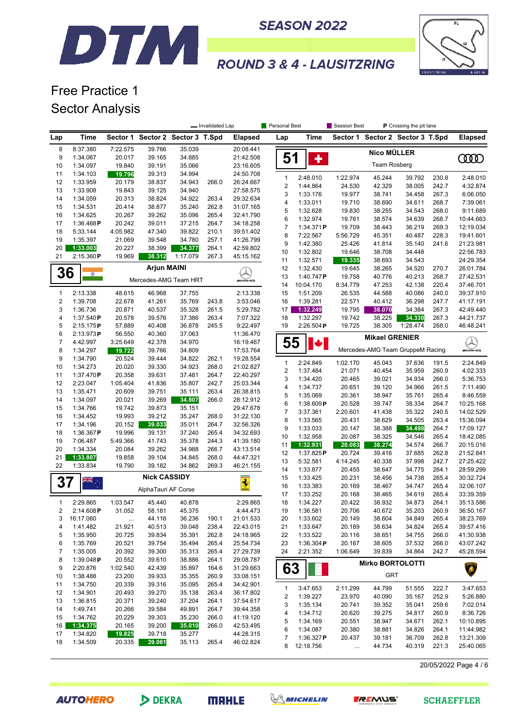#### **SEASON 2022**



# **ROUND 3 & 4 - LAUSITZRING**

### Free Practice 1 Sector Analysis

DTM

|                     |                       |                    |                                  |                  | - Invalidated Lap |                        | <b>Personal Best</b>  |                       | Session Best       |                       | P Crossing the pit lane          |                |                        |
|---------------------|-----------------------|--------------------|----------------------------------|------------------|-------------------|------------------------|-----------------------|-----------------------|--------------------|-----------------------|----------------------------------|----------------|------------------------|
| Lap                 | Time                  |                    | Sector 1 Sector 2 Sector 3 T.Spd |                  |                   | <b>Elapsed</b>         | Lap                   | Time                  |                    |                       | Sector 1 Sector 2 Sector 3 T.Spd |                | <b>Elapsed</b>         |
| 8                   | 8:37.380              | 7:22.575           | 39.766                           | 35.039           |                   | 20:08.441              |                       |                       |                    | <b>Nico MÜLLER</b>    |                                  |                |                        |
| 9                   | 1:34.067              | 20.017             | 39.165                           | 34.885           |                   | 21:42.508              | 51                    | ٠                     |                    |                       |                                  |                | OOO                    |
| 10                  | 1:34.097              | 19.840             | 39.191                           | 35.066           |                   | 23:16.605              |                       |                       |                    | <b>Team Rosberg</b>   |                                  |                |                        |
| 11<br>12            | 1:34.103<br>1:33.959  | 19.796<br>20.179   | 39.313<br>38.837                 | 34.994<br>34.943 | 266.0             | 24:50.708<br>26:24.667 | $\mathbf{1}$          | 2:48.010              | 1:22.974           | 45.244                | 39.792                           | 230.8          | 2:48.010               |
| 13                  | 1:33.908              | 19.843             | 39.125                           | 34.940           |                   | 27:58.575              | $\sqrt{2}$            | 1:44.864              | 24.530             | 42.329                | 38.005                           | 242.7          | 4:32.874               |
| 14                  | 1:34.059              | 20.313             | 38.824                           | 34.922           | 263.4             | 29:32.634              | 3                     | 1:33.176              | 19.977             | 38.741                | 34.458                           | 267.3          | 6:06.050               |
| 15                  | 1:34.531              | 20.414             | 38.877                           | 35.240           | 262.8             | 31:07.165              | 4                     | 1:33.011              | 19.710             | 38.690                | 34.611                           | 268.7          | 7:39.061               |
| 16                  | 1:34.625              | 20.267             | 39.262                           | 35.096           | 265.4             | 32:41.790              | 5                     | 1:32.628              | 19.830             | 38.255                | 34.543                           | 268.0          | 9:11.689               |
| 17                  | 1:36.468P             | 20.242             | 39.011                           | 37.215           | 264.7             | 34:18.258              | 6<br>$\boldsymbol{7}$ | 1:32.974              | 19.761             | 38.574<br>38.443      | 34.639                           | 268.7          | 10:44.663              |
| 18                  | 5:33.144              | 4:05.982           | 47.340                           | 39.822           | 210.1             | 39:51.402              | 8                     | 1:34.371P<br>7:22.567 | 19.709<br>5:56.729 | 45.351                | 36.219<br>40.487                 | 269.3<br>228.3 | 12:19.034<br>19:41.601 |
| 19                  | 1:35.397              | 21.069             | 39.548                           | 34.780           | 257.1             | 41:26.799              | 9                     | 1:42.380              | 25.426             | 41.814                | 35.140                           | 241.6          | 21:23.981              |
| 20                  | 1:33.003              | 20.227             | 38.399                           | 34.377           | 264.1             | 42:59.802              | 10                    | 1:32.802              | 19.646             | 38.708                | 34.448                           |                | 22:56.783              |
| 21                  | 2:15.360P             | 19.969             | 38.312                           | 1:17.079         | 267.3             | 45:15.162              | 11                    | 1:32.571              | 19.335             | 38.693                | 34.543                           |                | 24:29.354              |
|                     |                       |                    | <b>Arjun MAINI</b>               |                  |                   |                        | 12                    | 1:32.430              | 19.645             | 38.265                | 34.520                           | 270.7          | 26:01.784              |
| 36                  | $\bullet$             |                    | Mercedes-AMG Team HRT            |                  |                   | <b><i>UNE</i>ME</b>    | 13                    | 1:40.747P             | 19.758             | 40.776                | 40.213                           | 268.7          | 27:42.531              |
|                     |                       |                    |                                  |                  |                   |                        | 14                    | 10:04.170             | 8:34.779           | 47.253                | 42.138                           | 220.4          | 37:46.701              |
| 1                   | 2:13.338              | 48.615             | 46.968                           | 37.755           |                   | 2:13.338               | 15                    | 1:51.209              | 26.535             | 44.588                | 40.086                           | 240.0          | 39:37.910              |
| $\overline{2}$      | 1:39.708              | 22.678             | 41.261                           | 35.769           | 243.8             | 3:53.046               | 16                    | 1:39.281              | 22.571             | 40.412                | 36.298                           | 247.7          | 41:17.191              |
| 3                   | 1:36.736              | 20.871             | 40.537                           | 35.328           | 261.5             | 5:29.782               | 17                    | 1:32.249              | 19.795             | 38.070                | 34.384                           | 267.3          | 42:49.440              |
| 4                   | 1:37.540P             | 20.578             | 39.576                           | 37.386           | 263.4             | 7:07.322               | 18                    | 1:32.297              | 19.742             | 38.225                | 34.330                           | 267.3          | 44:21.737              |
| 5                   | 2:15.175P             | 57.889             | 40.408                           | 36.878           | 245.5             | 9:22.497               | 19                    | 2:26.504P             | 19.725             | 38.305                | 1:28.474                         | 268.0          | 46:48.241              |
| 6<br>$\overline{7}$ | 2:13.973P<br>4:42.997 | 56.550<br>3:25.649 | 40.360<br>42.378                 | 37.063<br>34.970 |                   | 11:36.470<br>16:19.467 | 55                    |                       |                    | <b>Mikael GRENIER</b> |                                  |                |                        |
| 8                   | 1:34.297              | 19.722             | 39.766                           | 34.809           |                   | 17:53.764              |                       | ₩                     |                    |                       | Mercedes-AMG Team GruppeM Racing |                | <u>Q</u>               |
| 9                   | 1:34.790              | 20.524             | 39.444                           | 34.822           | 262.1             | 19:28.554              |                       |                       |                    |                       |                                  |                |                        |
| 10                  | 1:34.273              | 20.020             | 39.330                           | 34.923           | 268.0             | 21:02.827              | $\mathbf{1}$          | 2:24.849              | 1:02.170           | 45.043                | 37.636                           | 191.5          | 2:24.849               |
| 11                  | 1:37.470P             | 20.358             | 39.631                           | 37.481           | 264.7             | 22:40.297              | $\boldsymbol{2}$      | 1:37.484              | 21.071             | 40.454                | 35.959                           | 260.9          | 4:02.333               |
| 12                  | 2:23.047              | 1:05.404           | 41.836                           | 35.807           | 242.7             | 25:03.344              | 3<br>4                | 1:34.420<br>1:34.737  | 20.465<br>20.651   | 39.021<br>39.120      | 34.934<br>34.966                 | 266.0<br>261.5 | 5:36.753<br>7:11.490   |
| 13                  | 1:35.471              | 20.609             | 39.751                           | 35.111           | 263.4             | 26:38.815              | 5                     | 1:35.069              | 20.361             | 38.947                | 35.761                           | 265.4          | 8:46.559               |
| 14                  | 1:34.097              | 20.021             | 39.269                           | 34.807           | 266.0             | 28:12.912              | 6                     | 1:38.609P             | 20.528             | 39.747                | 38.334                           | 264.7          | 10:25.168              |
| 15                  | 1:34.766              | 19.742             | 39.873                           | 35.151           |                   | 29:47.678              | $\overline{7}$        | 3:37.361              | 2:20.601           | 41.438                | 35.322                           | 240.5          | 14:02.529              |
| 16                  | 1:34.452              | 19.993             | 39.212                           | 35.247           | 268.0             | 31:22.130              | 8                     | 1:33.565              | 20.431             | 38.629                | 34.505                           | 263.4          | 15:36.094              |
| 17                  | 1:34.196              | 20.152             | 39.033                           | 35.011           | 264.7             | 32:56.326              | 9                     | 1:33.033              | 20.147             | 38.388                | 34.498                           | 264.7          | 17:09.127              |
| 18<br>19            | 1:36.367P<br>7:06.487 | 19.996<br>5:49.366 | 39.131<br>41.743                 | 37.240<br>35.378 | 265.4<br>244.3    | 34:32.693<br>41:39.180 | 10                    | 1:32.958              | 20.087             | 38.325                | 34.546                           | 265.4          | 18:42.085              |
| 20                  | 1:34.334              | 20.084             | 39.262                           | 34.988           | 266.7             | 43:13.514              | 11                    | 1:32.931              | 20.083             | 38.274                | 34.574                           | 266.7          | 20:15.016              |
| 21                  | 1:33.807              | 19.858             | 39.104                           | 34.845           | 268.0             | 44:47.321              | 12                    | 1:37.825P             | 20.724             | 39.416                | 37.685                           | 262.8          | 21:52.841              |
| 22                  | 1:33.834              | 19.790             | 39.182                           | 34.862           | 269.3             | 46:21.155              | 13                    | 5:32.581              | 4:14.245           | 40.338                | 37.998                           | 242.7          | 27:25.422              |
|                     |                       |                    |                                  |                  |                   |                        | 14                    | 1:33.877              | 20.455             | 38.647                | 34.775                           | 264.1          | 28:59.299              |
| <b>37</b>           | ÄĶ<br>XK              |                    | <b>Nick CASSIDY</b>              |                  |                   | $\frac{1}{2}$          | 15                    | 1:33.425              | 20.231             | 38.456                | 34.738                           | 265.4          | 30:32.724              |
|                     |                       |                    | AlphaTauri AF Corse              |                  |                   |                        | 16<br>17              | 1:33.383<br>1:33.252  | 20.169<br>20.168   | 38.467<br>38.465      | 34.747<br>34.619                 | 265.4<br>265.4 | 32:06.107<br>33:39.359 |
| $\mathbf{1}$        | 2:29.865              | 1:03.547           | 45.440                           | 40.878           |                   | 2:29.865               | 18                    | 1:34.227              | 20.422             | 38.932                | 34.873                           | 264.1          | 35:13.586              |
| 2                   | 2:14.608P             | 31.052             | 58.181                           | 45.375           |                   | 4:44.473               | 19                    | 1:36.581              | 20.706             | 40.672                | 35.203                           | 260.9          | 36:50.167              |
| 3                   | 16:17.060             | $\ldots$           | 44.116                           | 36.236           | 190.1             | 21:01.533              | 20                    | 1:33.602              | 20.149             | 38.604                | 34.849                           | 265.4          | 38:23.769              |
| 4                   | 1:41.482              | 21.921             | 40.513                           | 39.048           | 238.4             | 22:43.015              | 21                    | 1:33.647              | 20.189             | 38.634                | 34.824                           | 265.4          | 39:57.416              |
| 5                   | 1:35.950              | 20.725             | 39.834                           | 35.391           | 262.8             | 24:18.965              | 22                    | 1:33.522              | 20.116             | 38.651                | 34.755                           | 266.0          | 41:30.938              |
| 6                   | 1:35.769              | 20.521             | 39.754                           | 35.494           | 265.4             | 25:54.734              | 23                    | 1:36.304 $P$          | 20.167             | 38.605                | 37.532                           | 266.0          | 43:07.242              |
| $\overline{7}$      | 1:35.005              | 20.392             | 39.300                           | 35.313           | 265.4             | 27:29.739              | 24                    | 2:21.352              | 1:06.649           | 39.839                | 34.864                           | 242.7          | 45:28.594              |
| 8                   | 1:39.048P             | 20.552             | 39.610                           | 38.886           | 264.1             | 29:08.787              |                       |                       |                    |                       | <b>Mirko BORTOLOTTI</b>          |                |                        |
| 9                   | 2:20.876              | 1:02.540           | 42.439                           | 35.897           | 164.6             | 31:29.663              | 63                    |                       |                    |                       |                                  |                | Â                      |
| 10                  | 1:38.488              | 23.200             | 39.933                           | 35.355           | 260.9             | 33:08.151              |                       |                       |                    | <b>GRT</b>            |                                  |                |                        |
| 11<br>12            | 1:34.750<br>1:34.901  | 20.339<br>20.493   | 39.316<br>39.270                 | 35.095<br>35.138 | 265.4<br>263.4    | 34:42.901              | $\mathbf{1}$          | 3:47.653              | 2:11.299           | 44.799                | 51.555                           | 222.7          | 3:47.653               |
| 13                  | 1:36.815              | 20.371             | 39.240                           | 37.204           | 264.1             | 36:17.802<br>37:54.617 | 2                     | 1:39.227              | 23.970             | 40.090                | 35.167                           | 252.9          | 5:26.880               |
| 14                  | 1:49.741              | 20.266             | 39.584                           | 49.891           | 264.7             | 39:44.358              | 3                     | 1:35.134              | 20.741             | 39.352                | 35.041                           | 259.6          | 7:02.014               |
| 15                  | 1:34.762              | 20.229             | 39.303                           | 35.230           | 266.0             | 41:19.120              | 4                     | 1:34.712              | 20.620             | 39.275                | 34.817                           | 260.9          | 8:36.726               |
| 16                  | 1:34.375              | 20.165             | 39.200                           | 35.010           | 266.0             | 42:53.495              | 5                     | 1:34.169              | 20.551             | 38.947                | 34.671                           | 262.1          | 10:10.895              |
| 17                  | 1:34.820              | 19.825             | 39.718                           | 35.277           |                   | 44:28.315              | 6                     | 1:34.087              | 20.380             | 38.881                | 34.826                           | 264.1          | 11:44.982              |
| 18                  | 1:34.509              | 20.335             | 39.061                           | 35.113           | 265.4             | 46:02.824              | 7                     | 1:36.327P             | 20.437             | 39.181                | 36.709                           | 262.8          | 13:21.309              |
|                     |                       |                    |                                  |                  |                   |                        |                       | 8 12:18.756           | $\ldots$           | 44.734                | 40.319                           | 221.3          | 25:40.065              |

20/05/2022 Page 4 / 6

**AUTOHERO** 

DEKRA





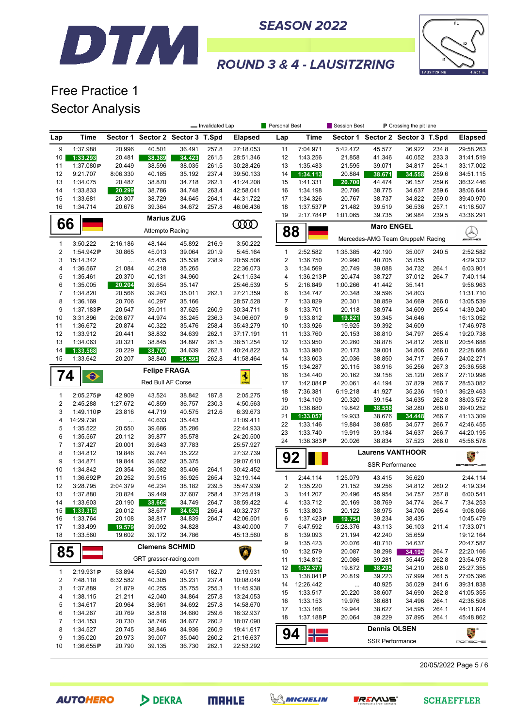



# Free Practice 1 Sector Analysis

DTM

|                         |                        |                  |                                  |                  | - Invalidated Lap |                         | Personal Best    |                       | Session Best     |                        | P Crossing the pit lane          |                |                           |
|-------------------------|------------------------|------------------|----------------------------------|------------------|-------------------|-------------------------|------------------|-----------------------|------------------|------------------------|----------------------------------|----------------|---------------------------|
| Lap                     | Time                   |                  | Sector 1 Sector 2 Sector 3 T.Spd |                  |                   | <b>Elapsed</b>          | Lap              | Time                  |                  |                        | Sector 1 Sector 2 Sector 3 T.Spd |                | <b>Elapsed</b>            |
| 9                       | 1:37.988               | 20.996           | 40.501                           | 36.491           | 257.8             | 27:18.053               | 11               | 7:04.971              | 5:42.472         | 45.577                 | 36.922                           | 234.8          | 29:58.263                 |
| 10                      | 1:33.293               | 20.481           | 38.389                           | 34.423           | 261.5             | 28:51.346               | 12               | 1:43.256              | 21.858           | 41.346                 | 40.052                           | 233.3          | 31:41.519                 |
| 11                      | 1:37.080P              | 20.449           | 38.596                           | 38.035           | 261.5             | 30:28.426               | 13               | 1:35.483              | 21.595           | 39.071                 | 34.817                           | 254.1          | 33:17.002                 |
| 12                      | 9:21.707               | 8:06.330         | 40.185                           | 35.192           | 237.4             | 39:50.133               | 14               | 1:34.113              | 20.884           | 38.671                 | 34.558                           | 259.6          | 34:51.115                 |
| 13<br>14                | 1:34.075<br>1:33.833   | 20.487           | 38.870<br>38.786                 | 34.718<br>34.748 | 262.1<br>263.4    | 41:24.208<br>42:58.041  | 15<br>16         | 1:41.331<br>1:34.198  | 20.700<br>20.786 | 44.474<br>38.775       | 36.157<br>34.637                 | 259.6<br>259.6 | 36:32.446<br>38:06.644    |
| 15                      | 1:33.681               | 20.299<br>20.307 | 38.729                           | 34.645           | 264.1             | 44:31.722               | 17               | 1:34.326              | 20.767           | 38.737                 | 34.822                           | 259.0          | 39:40.970                 |
| 16                      | 1:34.714               | 20.678           | 39.364                           | 34.672           | 257.8             | 46:06.436               | 18               | 1:37.537P             | 21.482           | 39.519                 | 36.536                           | 257.1          | 41:18.507                 |
|                         |                        |                  |                                  |                  |                   |                         | 19               | 2:17.784P             | 1:01.065         | 39.735                 | 36.984                           | 239.5          | 43:36.291                 |
| 66                      |                        |                  | <b>Marius ZUG</b>                |                  |                   | <b>COOD</b>             |                  |                       |                  | <b>Maro ENGEL</b>      |                                  |                |                           |
|                         |                        |                  | Attempto Racing                  |                  |                   |                         | 88               |                       |                  |                        | Mercedes-AMG Team GruppeM Racing |                | $\bigotimes_{\mathsf{m}}$ |
| $\mathbf{1}$            | 3:50.222               | 2:16.186         | 48.144                           | 45.892           | 216.9             | 3:50.222                |                  |                       |                  |                        |                                  |                |                           |
| $\overline{2}$          | 1:54.942P              | 30.865           | 45.013                           | 39.064           | 201.9             | 5:45.164                | $\mathbf{1}$     | 2:52.582              | 1:35.385         | 42.190                 | 35.007                           | 240.5          | 2:52.582                  |
| 3                       | 15:14.342              |                  | 45.435                           | 35.538           | 238.9             | 20:59.506               | $\boldsymbol{2}$ | 1:36.750              | 20.990           | 40.705                 | 35.055                           |                | 4:29.332                  |
| 4<br>5                  | 1:36.567<br>1:35.461   | 21.084<br>20.370 | 40.218<br>40.131                 | 35.265<br>34.960 |                   | 22:36.073<br>24:11.534  | 3<br>4           | 1:34.569<br>1:36.213P | 20.749<br>20.474 | 39.088<br>38.727       | 34.732<br>37.012                 | 264.1<br>264.7 | 6:03.901<br>7:40.114      |
| 6                       | 1:35.005               | 20.204           | 39.654                           | 35.147           |                   | 25:46.539               | 5                | 2:16.849              | 1:00.266         | 41.442                 | 35.141                           |                | 9:56.963                  |
| $\overline{7}$          | 1:34.820               | 20.566           | 39.243                           | 35.011           | 262.1             | 27:21.359               | 6                | 1:34.747              | 20.348           | 39.596                 | 34.803                           |                | 11:31.710                 |
| 8                       | 1:36.169               | 20.706           | 40.297                           | 35.166           |                   | 28:57.528               | $\overline{7}$   | 1:33.829              | 20.301           | 38.859                 | 34.669                           | 266.0          | 13:05.539                 |
| 9                       | 1:37.183P              | 20.547           | 39.011                           | 37.625           | 260.9             | 30:34.711               | 8                | 1:33.701              | 20.118           | 38.974                 | 34.609                           | 265.4          | 14:39.240                 |
| 10                      | 3:31.896               | 2:08.677         | 44.974                           | 38.245           | 236.3             | 34:06.607               | 9                | 1:33.812              | 19.821           | 39.345                 | 34.646                           |                | 16:13.052                 |
| 11                      | 1:36.672               | 20.874           | 40.322                           | 35.476           | 258.4             | 35:43.279               | 10               | 1:33.926              | 19.925           | 39.392                 | 34.609                           |                | 17:46.978                 |
| 12                      | 1:33.912               | 20.441           | 38.832                           | 34.639           | 262.1             | 37:17.191               | 11               | 1:33.760              | 20.153           | 38.810                 | 34.797                           | 265.4          | 19:20.738                 |
| 13                      | 1:34.063               | 20.321           | 38.845                           | 34.897           | 261.5             | 38:51.254               | 12               | 1:33.950              | 20.260           | 38.878                 | 34.812                           | 266.0          | 20:54.688                 |
| 14                      | 1:33.568               | 20.229           | 38.700                           | 34.639           | 262.1             | 40:24.822               | 13               | 1:33.980              | 20.173           | 39.001                 | 34.806                           | 266.0          | 22:28.668                 |
| 15                      | 1:33.642               | 20.207           | 38.840                           | 34.595           | 262.8             | 41:58.464               | 14               | 1:33.603              | 20.036           | 38.850                 | 34.717                           | 266.7          | 24:02.271                 |
| 74                      |                        |                  | <b>Felipe FRAGA</b>              |                  |                   |                         | 15<br>16         | 1:34.287<br>1:34.440  | 20.115<br>20.162 | 38.916<br>39.158       | 35.256<br>35.120                 | 267.3<br>266.7 | 25:36.558<br>27:10.998    |
|                         | $\bullet$              |                  | Red Bull AF Corse                |                  |                   | $\overline{\mathbf{3}}$ | 17               | 1:42.084 $P$          | 20.061           | 44.194                 | 37.829                           | 266.7          | 28:53.082                 |
|                         |                        |                  |                                  |                  |                   |                         | 18               | 7:36.381              | 6:19.218         | 41.927                 | 35.236                           | 190.1          | 36:29.463                 |
| $\mathbf{1}$            | 2:05.275P              | 42.909           | 43.524                           | 38.842           | 187.8             | 2:05.275                | 19               | 1:34.109              | 20.320           | 39.154                 | 34.635                           | 262.8          | 38:03.572                 |
| $\sqrt{2}$<br>3         | 2:45.288               | 1:27.672         | 40.859                           | 36.757           | 230.3             | 4:50.563                | 20               | 1:36.680              | 19.842           | 38.558                 | 38.280                           | 268.0          | 39:40.252                 |
| 4                       | 1:49.110P<br>14:29.738 | 23.816           | 44.719<br>40.633                 | 40.575<br>35.443 | 212.6             | 6:39.673<br>21:09.411   | 21               | 1:33.057              | 19.933           | 38.676                 | 34.448                           | 266.7          | 41:13.309                 |
| 5                       | 1:35.522               | <br>20.550       | 39.686                           | 35.286           |                   | 22:44.933               | 22               | 1:33.146              | 19.884           | 38.685                 | 34.577                           | 266.7          | 42:46.455                 |
| 6                       | 1:35.567               | 20.112           | 39.877                           | 35.578           |                   | 24:20.500               | 23               | 1:33.740              | 19.919           | 39.184                 | 34.637                           | 266.7          | 44:20.195                 |
| $\overline{7}$          | 1:37.427               | 20.001           | 39.643                           | 37.783           |                   | 25:57.927               | 24               | 1:36.383P             | 20.026           | 38.834                 | 37.523                           | 266.0          | 45:56.578                 |
| 8                       | 1:34.812               | 19.846           | 39.744                           | 35.222           |                   | 27:32.739               |                  |                       |                  |                        | <b>Laurens VANTHOOR</b>          |                | 美国                        |
| 9                       | 1:34.871               | 19.844           | 39.652                           | 35.375           |                   | 29:07.610               | 92               |                       |                  | <b>SSR Performance</b> |                                  |                | PORSCHE                   |
| 10                      | 1:34.842               | 20.354           | 39.082                           | 35.406           | 264.1             | 30:42.452               |                  |                       |                  |                        |                                  |                |                           |
| 11                      | 1:36.692P              | 20.252           | 39.515                           | 36.925           | 265.4             | 32:19.144               | $\mathbf{1}$     | 2:44.114              | 1:25.079         | 43.415                 | 35.620                           |                | 2:44.114                  |
| 12                      | 3:28.795               | 2:04.379         | 46.234                           | 38.182           | 239.5             | 35:47.939               | 2                | 1:35.220              | 21.152           | 39.256                 | 34.812                           | 260.2          | 4:19.334                  |
| 13                      | 1:37.880               | 20.824           | 39.449                           | 37.607           | 258.4             | 37:25.819               | 3                | 1:41.207              | 20.496           | 45.954                 | 34.757                           | 257.8          | 6:00.541                  |
| 14                      | 1:33.603               | 20.190           | 38.664                           | 34.749           | 264.7             | 38:59.422               | 4                | 1:33.712              | 20.169           | 38.769                 | 34.774                           | 264.7          | 7:34.253                  |
| 15<br>16                | 1:33.315<br>1:33.764   | 20.012<br>20.108 | 38.677<br>38.817                 | 34.626<br>34.839 | 265.4<br>264.7    | 40:32.737<br>42:06.501  | 5<br>6           | 1:33.803<br>1:37.423P | 20.122<br>19.754 | 38.975<br>39.234       | 34.706<br>38.435                 | 265.4          | 9:08.056<br>10:45.479     |
| 17                      | 1:33.499               | 19.579           | 39.092                           | 34.828           |                   | 43:40.000               | 7                | 6:47.592              | 5:28.376         | 43.113                 | 36.103                           | 211.4          | 17:33.071                 |
| 18                      | 1:33.560               | 19.602           | 39.172                           | 34.786           |                   | 45:13.560               | 8                | 1:39.093              | 21.194           | 42.240                 | 35.659                           |                | 19:12.164                 |
|                         |                        |                  |                                  |                  |                   |                         | 9                | 1:35.423              | 20.076           | 40.710                 | 34.637                           |                | 20:47.587                 |
| 85                      |                        |                  | <b>Clemens SCHMID</b>            |                  |                   |                         | 10               | 1:32.579              | 20.087           | 38.298                 | 34.194                           | 264.7          | 22:20.166                 |
|                         |                        |                  | GRT grasser-racing.com           |                  |                   |                         | 11               | 1:34.812              | 20.086           | 39.281                 | 35.445                           | 262.8          | 23:54.978                 |
| 1                       | 2:19.931P              | 53.894           | 45.520                           | 40.517           | 162.7             | 2:19.931                | 12               | 1:32.377              | 19.872           | 38.295                 | 34.210                           | 266.0          | 25:27.355                 |
| $\overline{\mathbf{c}}$ | 7:48.118               | 6:32.582         | 40.305                           | 35.231           | 237.4             | 10:08.049               | 13               | 1:38.041P             | 20.819           | 39.223                 | 37.999                           | 261.5          | 27:05.396                 |
| 3                       | 1:37.889               | 21.879           | 40.255                           | 35.755           | 255.3             | 11:45.938               | 14               | 12:26.442             | $\ldots$         | 40.925                 | 35.029                           | 241.6          | 39:31.838                 |
| 4                       | 1:38.115               | 21.211           | 42.040                           | 34.864           | 257.8             | 13:24.053               | 15               | 1:33.517              | 20.220           | 38.607                 | 34.690                           | 262.8          | 41:05.355                 |
| 5                       | 1:34.617               | 20.964           | 38.961                           | 34.692           | 257.8             | 14:58.670               | 16               | 1:33.153              | 19.976           | 38.681                 | 34.496                           | 264.1          | 42:38.508                 |
| 6                       | 1:34.267               | 20.769           | 38.818                           | 34.680           | 259.6             | 16:32.937               | 17<br>18         | 1:33.166<br>1:37.188P | 19.944<br>20.064 | 38.627<br>39.229       | 34.595<br>37.895                 | 264.1<br>264.1 | 44:11.674<br>45:48.862    |
| 7                       | 1:34.153               | 20.730           | 38.746                           | 34.677           | 260.2             | 18:07.090               |                  |                       |                  |                        |                                  |                |                           |
| 8                       | 1:34.527               | 20.745           | 38.846                           | 34.936           | 260.9             | 19:41.617               | 94               |                       |                  | <b>Dennis OLSEN</b>    |                                  |                | 美国                        |
| 9                       | 1:35.020               | 20.973           | 39.007                           | 35.040           | 260.2             | 21:16.637               |                  |                       |                  | <b>SSR Performance</b> |                                  |                | PORSCHE                   |
| 10                      | 1:36.655P              | 20.790           | 39.135                           | 36.730           | 262.1             | 22:53.292               |                  |                       |                  |                        |                                  |                |                           |

20/05/2022 Page 5 / 6

**AUTOHERO**